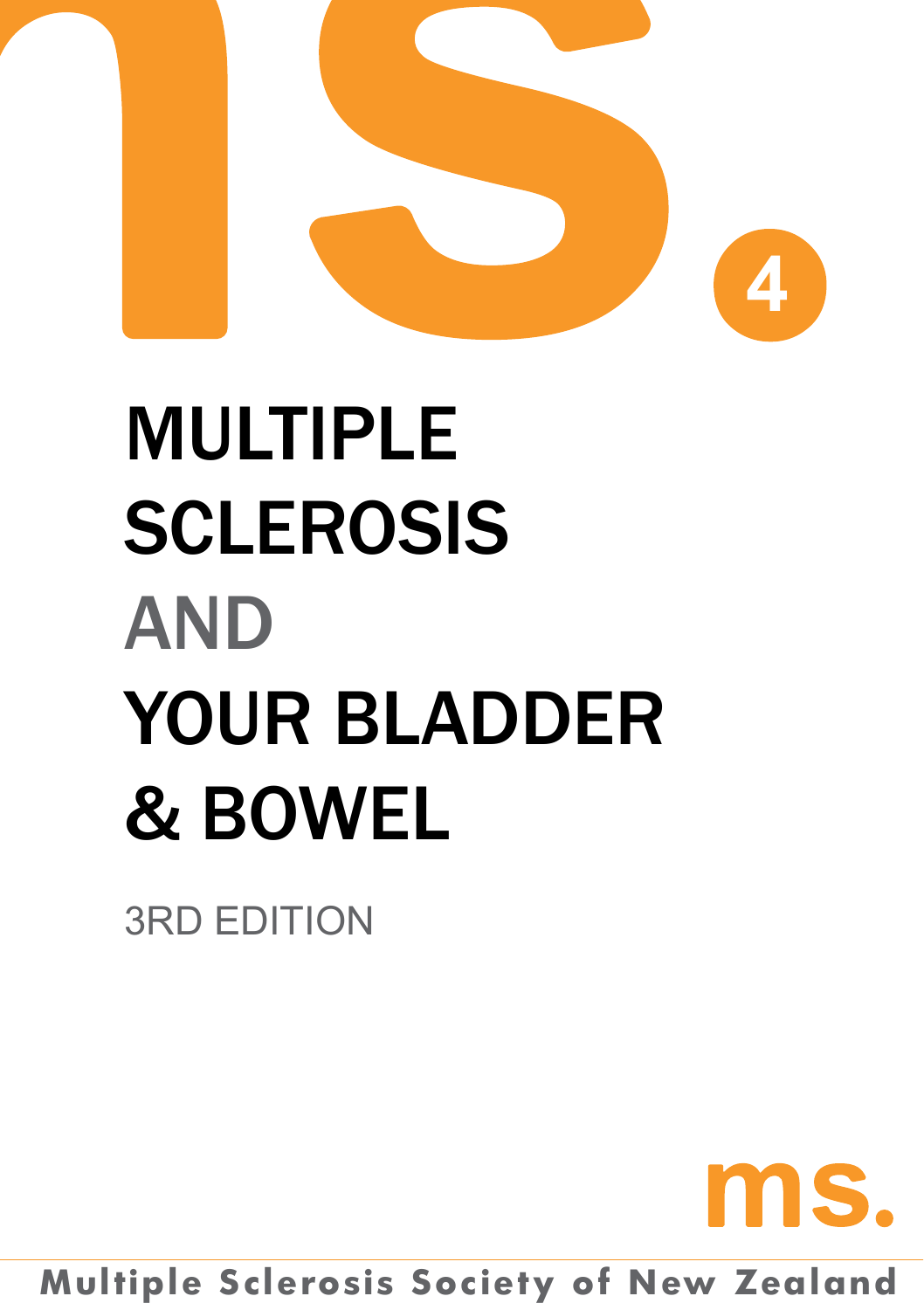

# Multiple **SCLEROSIS AND** Your Bladder & Bowel

3RD edition

# ms.

**Multiple Sclerosis Society of New Zealand**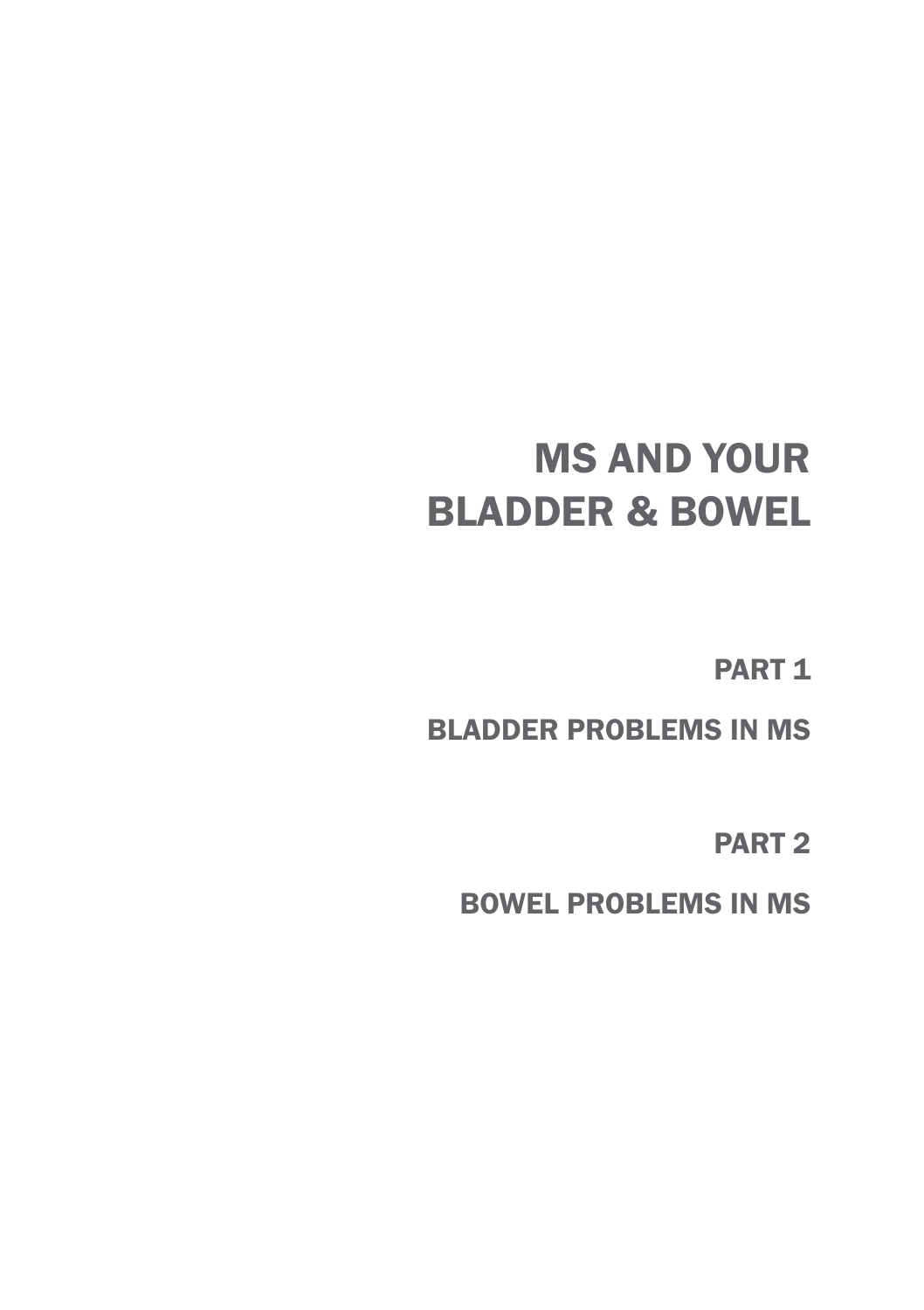# MS AND YOUR BLADDER & Bowel

PART<sub>1</sub>

Bladder problems in MS

PART<sub>2</sub>

Bowel Problems In MS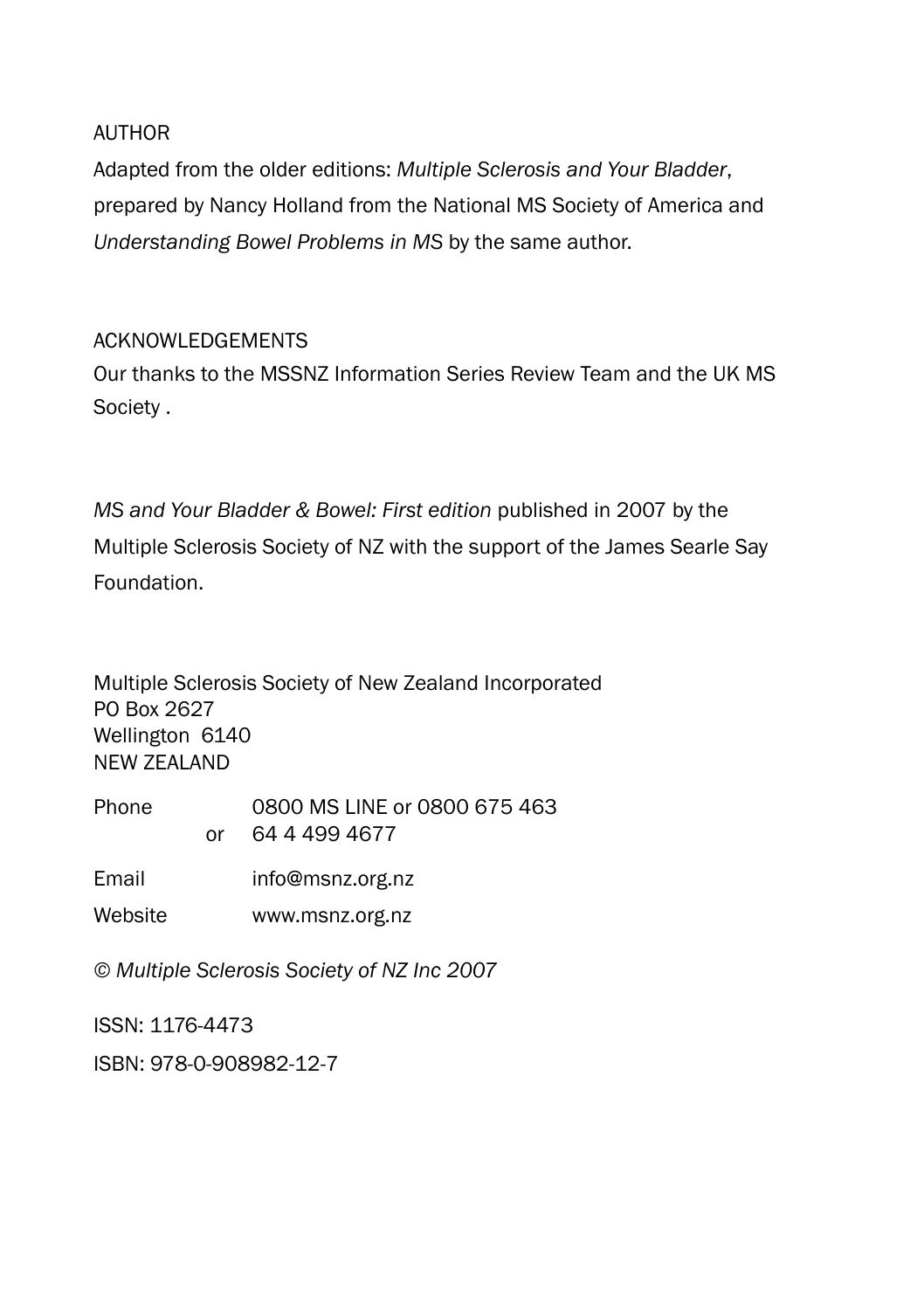AUTHOR

Adapted from the older editions: *Multiple Sclerosis and Your Bladder*, prepared by Nancy Holland from the National MS Society of America and *Understanding Bowel Problems in MS* by the same author.

#### Acknowledgements

Our thanks to the MSSNZ Information Series Review Team and the UK MS Society .

*MS and Your Bladder & Bowel: First edition* published in 2007 by the Multiple Sclerosis Society of NZ with the support of the James Searle Say Foundation.

Multiple Sclerosis Society of New Zealand Incorporated PO Box 2627 Wellington 6140 NEW ZEALAND

Phone 0800 MS LINE or 0800 675 463 or 64 4 499 4677

Email info@msnz.org.nz

Website www.msnz.org.nz

*© Multiple Sclerosis Society of NZ Inc 2007*

ISSN: 1176-4473

ISBN: 978-0-908982-12-7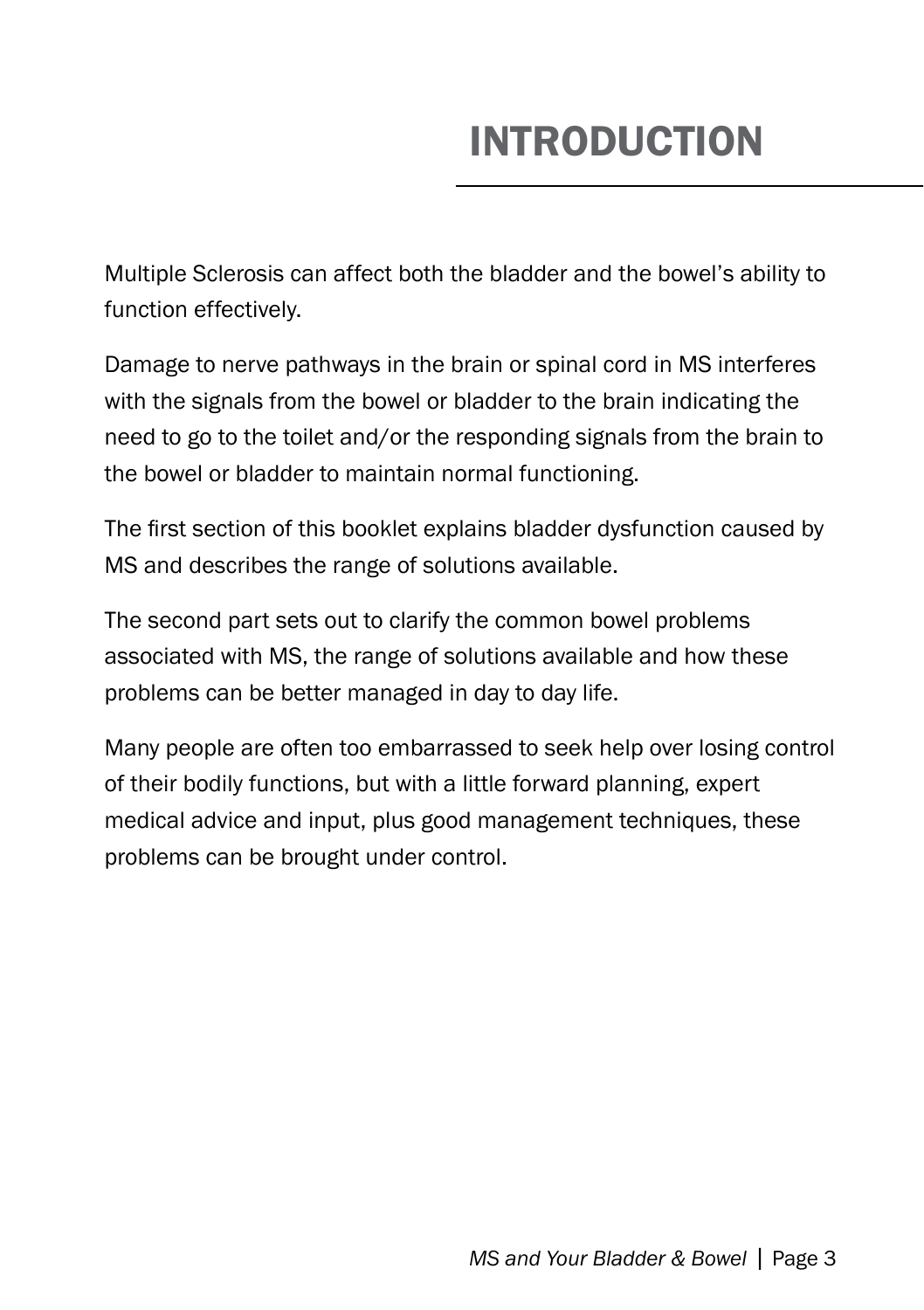# INTRODUCTION

Multiple Sclerosis can affect both the bladder and the bowel's ability to function effectively.

Damage to nerve pathways in the brain or spinal cord in MS interferes with the signals from the bowel or bladder to the brain indicating the need to go to the toilet and/or the responding signals from the brain to the bowel or bladder to maintain normal functioning.

The first section of this booklet explains bladder dysfunction caused by MS and describes the range of solutions available.

The second part sets out to clarify the common bowel problems associated with MS, the range of solutions available and how these problems can be better managed in day to day life.

Many people are often too embarrassed to seek help over losing control of their bodily functions, but with a little forward planning, expert medical advice and input, plus good management techniques, these problems can be brought under control.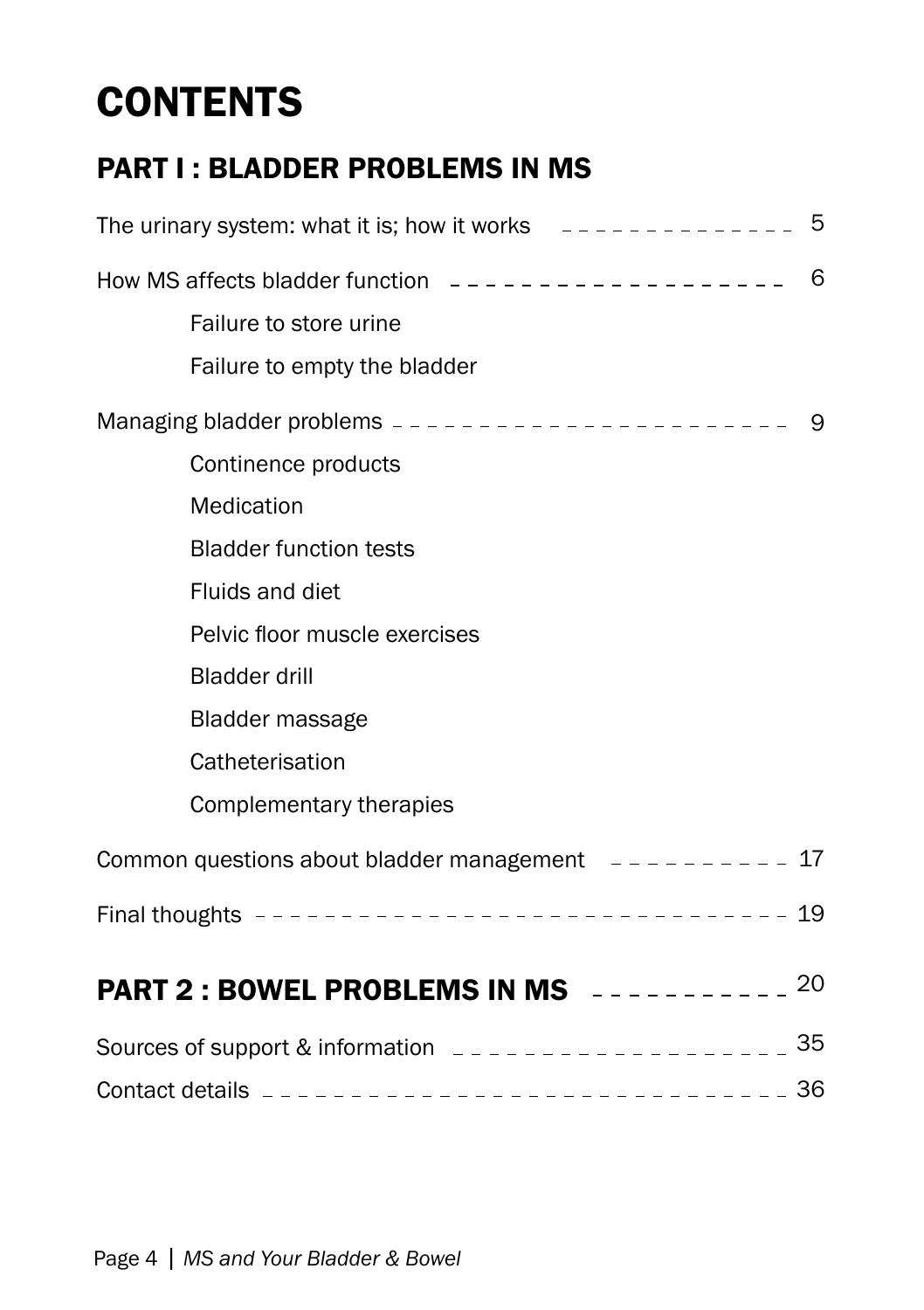# **CONTENTS**

### PART I : BLADDER PROBLEMS IN MS

| The urinary system: what it is; how it works $-$ - - - - - - - - - - - - - 5 |   |
|------------------------------------------------------------------------------|---|
|                                                                              | 6 |
| Failure to store urine                                                       |   |
| Failure to empty the bladder                                                 |   |
|                                                                              |   |
| Continence products                                                          |   |
| Medication                                                                   |   |
| <b>Bladder function tests</b>                                                |   |
| <b>Fluids and diet</b>                                                       |   |
| Pelvic floor muscle exercises                                                |   |
| <b>Bladder drill</b>                                                         |   |
| <b>Bladder massage</b>                                                       |   |
| Catheterisation                                                              |   |
| Complementary therapies                                                      |   |
| Common questions about bladder management $- - - - - - - - - 17$             |   |
|                                                                              |   |
| <b>PART 2 : BOWEL PROBLEMS IN MS</b> ---------- <sup>20</sup>                |   |
| Sources of support & information $2 - 2 - 2 - 2 - 2 - 2 - 2 - 2 - 35$        |   |
|                                                                              |   |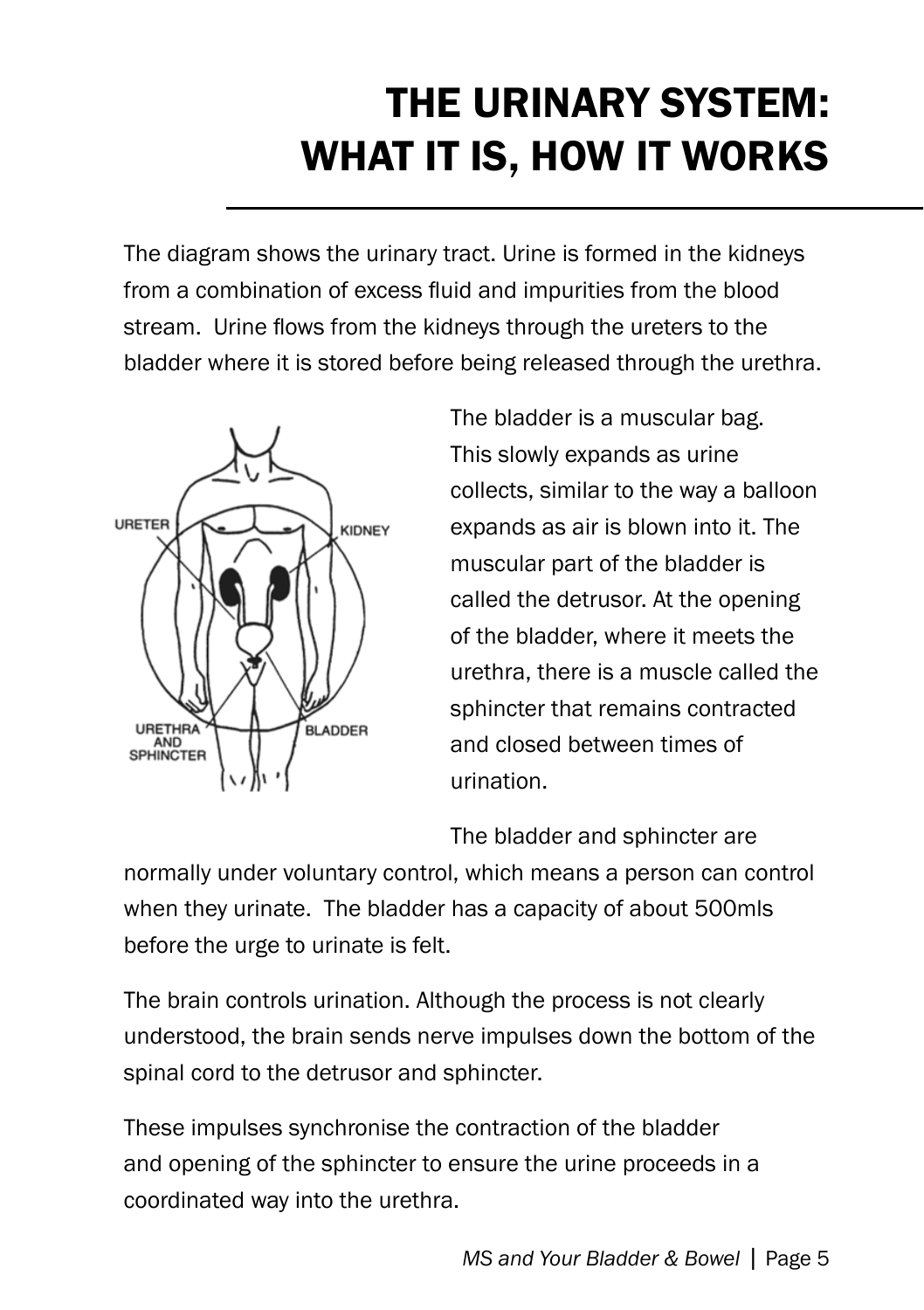# THE URINARY SYSTEM: what it is, How it works

The diagram shows the urinary tract. Urine is formed in the kidneys from a combination of excess fluid and impurities from the blood stream. Urine flows from the kidneys through the ureters to the bladder where it is stored before being released through the urethra.



The bladder is a muscular bag. This slowly expands as urine collects, similar to the way a balloon expands as air is blown into it. The muscular part of the bladder is called the detrusor. At the opening of the bladder, where it meets the urethra, there is a muscle called the sphincter that remains contracted and closed between times of urination.

The bladder and sphincter are

normally under voluntary control, which means a person can control when they urinate. The bladder has a capacity of about 500mls before the urge to urinate is felt.

The brain controls urination. Although the process is not clearly understood, the brain sends nerve impulses down the bottom of the spinal cord to the detrusor and sphincter.

These impulses synchronise the contraction of the bladder and opening of the sphincter to ensure the urine proceeds in a coordinated way into the urethra.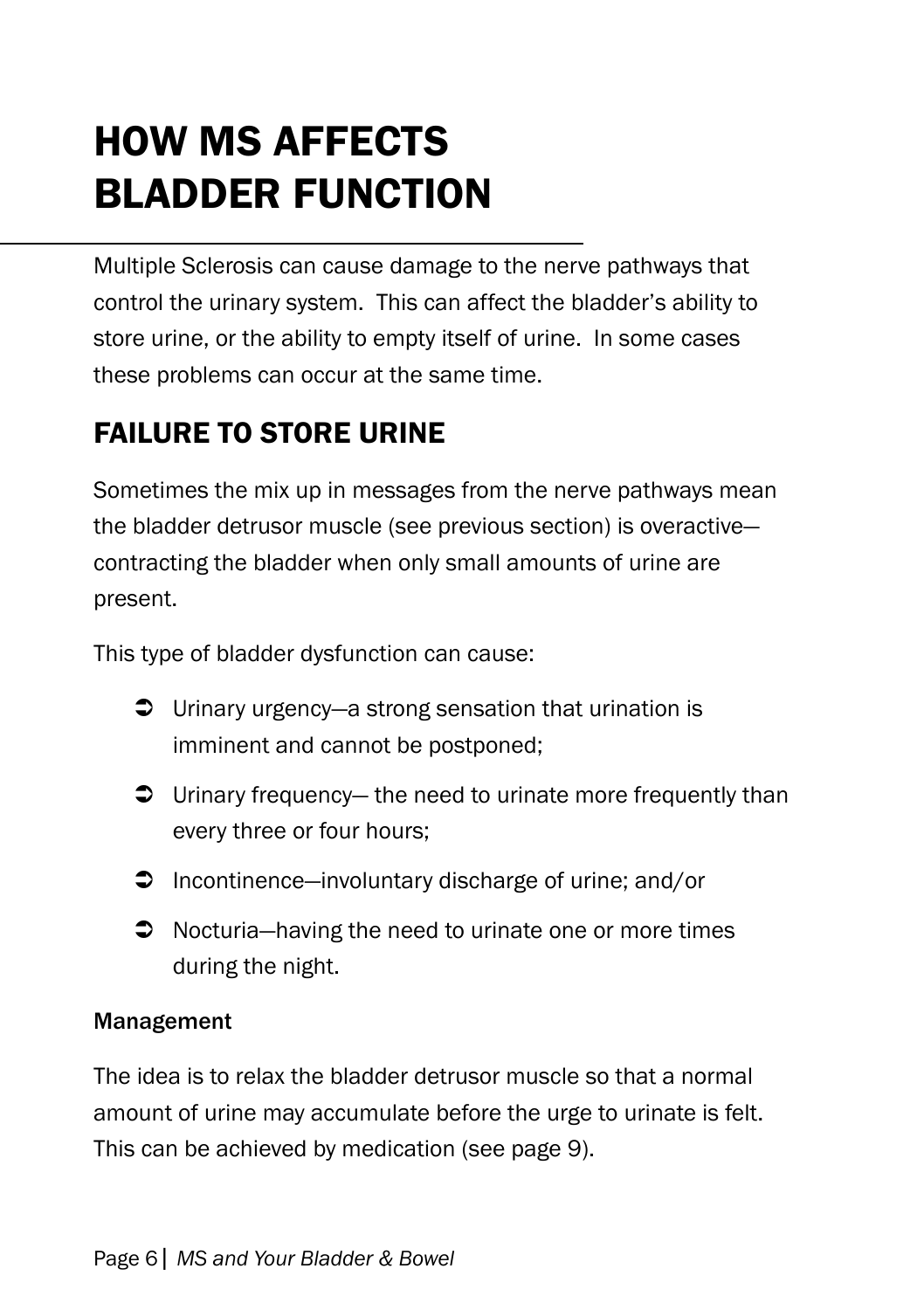# HOW MS AFFECTS BLADDER FUNCTION

Multiple Sclerosis can cause damage to the nerve pathways that control the urinary system. This can affect the bladder's ability to store urine, or the ability to empty itself of urine. In some cases these problems can occur at the same time.

### Failure to store urine

Sometimes the mix up in messages from the nerve pathways mean the bladder detrusor muscle (see previous section) is overactive contracting the bladder when only small amounts of urine are present.

This type of bladder dysfunction can cause:

- $\supset$  Urinary urgency—a strong sensation that urination is imminent and cannot be postponed;
- $\supset$  Urinary frequency— the need to urinate more frequently than every three or four hours;
- $\supset$  Incontinence—involuntary discharge of urine; and/or
- **→** Nocturia—having the need to urinate one or more times during the night.

#### Management

The idea is to relax the bladder detrusor muscle so that a normal amount of urine may accumulate before the urge to urinate is felt. This can be achieved by medication (see page 9).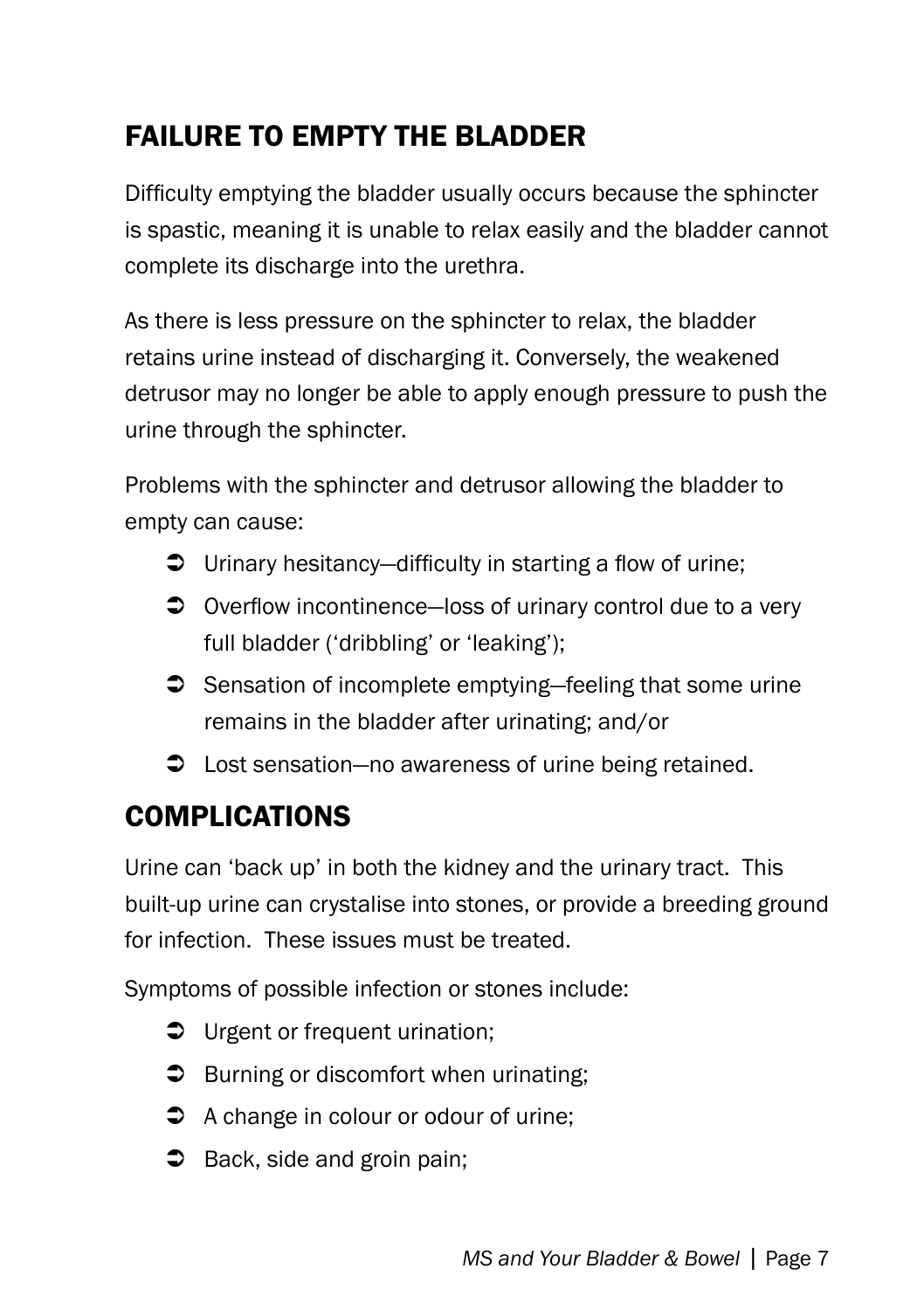### Failure to empty the bladder

Difficulty emptying the bladder usually occurs because the sphincter is spastic, meaning it is unable to relax easily and the bladder cannot complete its discharge into the urethra.

As there is less pressure on the sphincter to relax, the bladder retains urine instead of discharging it. Conversely, the weakened detrusor may no longer be able to apply enough pressure to push the urine through the sphincter.

Problems with the sphincter and detrusor allowing the bladder to empty can cause:

- Urinary hesitancy—difficulty in starting a flow of urine;
- **◯** Overflow incontinence—loss of urinary control due to a very full bladder ('dribbling' or 'leaking');
- $\supset$  Sensation of incomplete emptying—feeling that some urine remains in the bladder after urinating; and/or
- Lost sensation—no awareness of urine being retained.

### COMPLICATIONS

Urine can 'back up' in both the kidney and the urinary tract. This built-up urine can crystalise into stones, or provide a breeding ground for infection. These issues must be treated.

Symptoms of possible infection or stones include:

- $\supset$  Urgent or frequent urination;
- $\supset$  Burning or discomfort when urinating;
- $\Rightarrow$  A change in colour or odour of urine;
- $\supset$  Back, side and groin pain;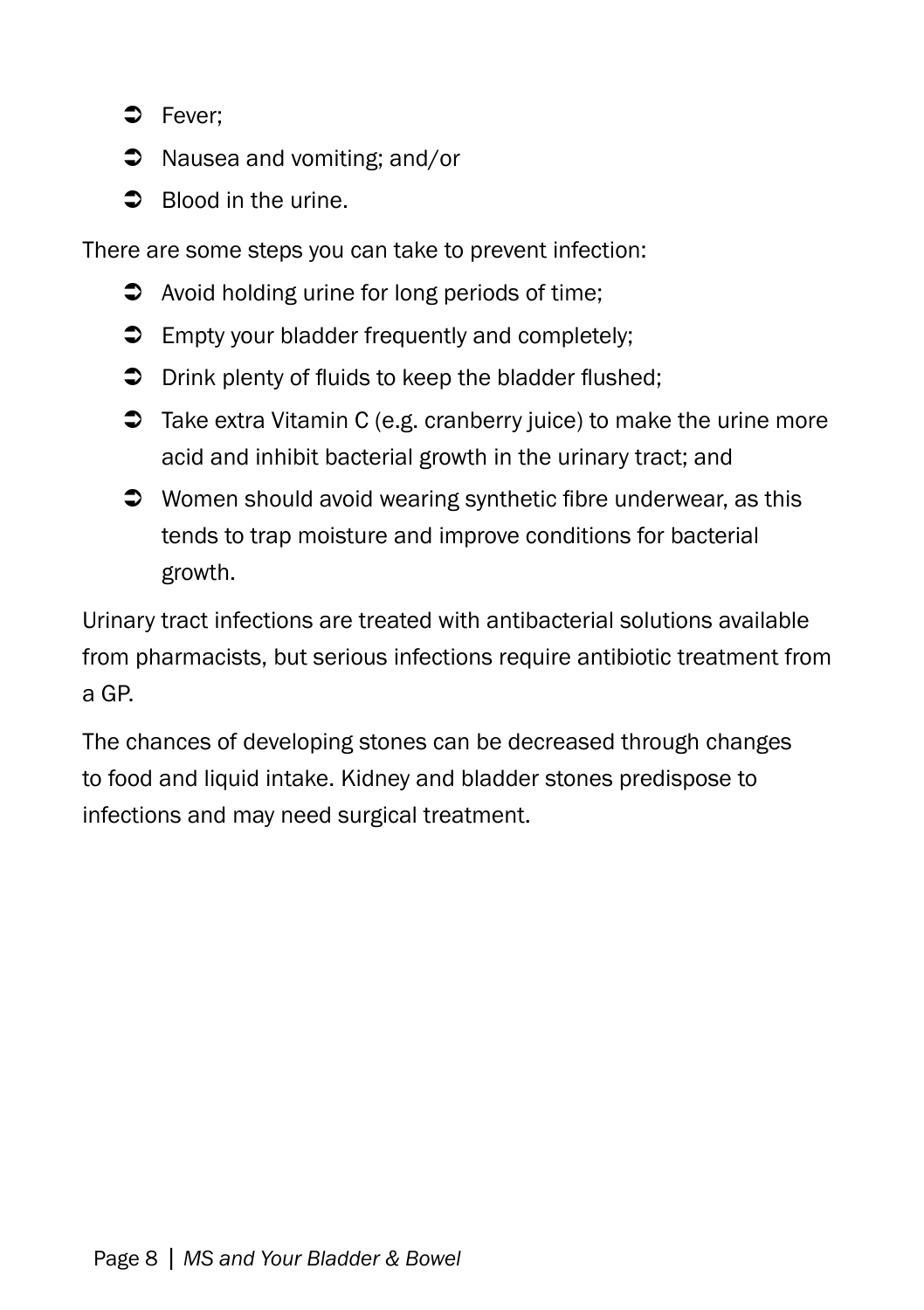- $\Rightarrow$  Fever;
- **→** Nausea and vomiting; and/or
- $\supset$  Blood in the urine.

There are some steps you can take to prevent infection:

- $\bullet$  Avoid holding urine for long periods of time:
- $\supset$  Empty your bladder frequently and completely;
- $\supset$  Drink plenty of fluids to keep the bladder flushed;
- $\supset$  Take extra Vitamin C (e.g. cranberry juice) to make the urine more acid and inhibit bacterial growth in the urinary tract; and
- $\supset$  Women should avoid wearing synthetic fibre underwear, as this tends to trap moisture and improve conditions for bacterial growth.

Urinary tract infections are treated with antibacterial solutions available from pharmacists, but serious infections require antibiotic treatment from a GP.

The chances of developing stones can be decreased through changes to food and liquid intake. Kidney and bladder stones predispose to infections and may need surgical treatment.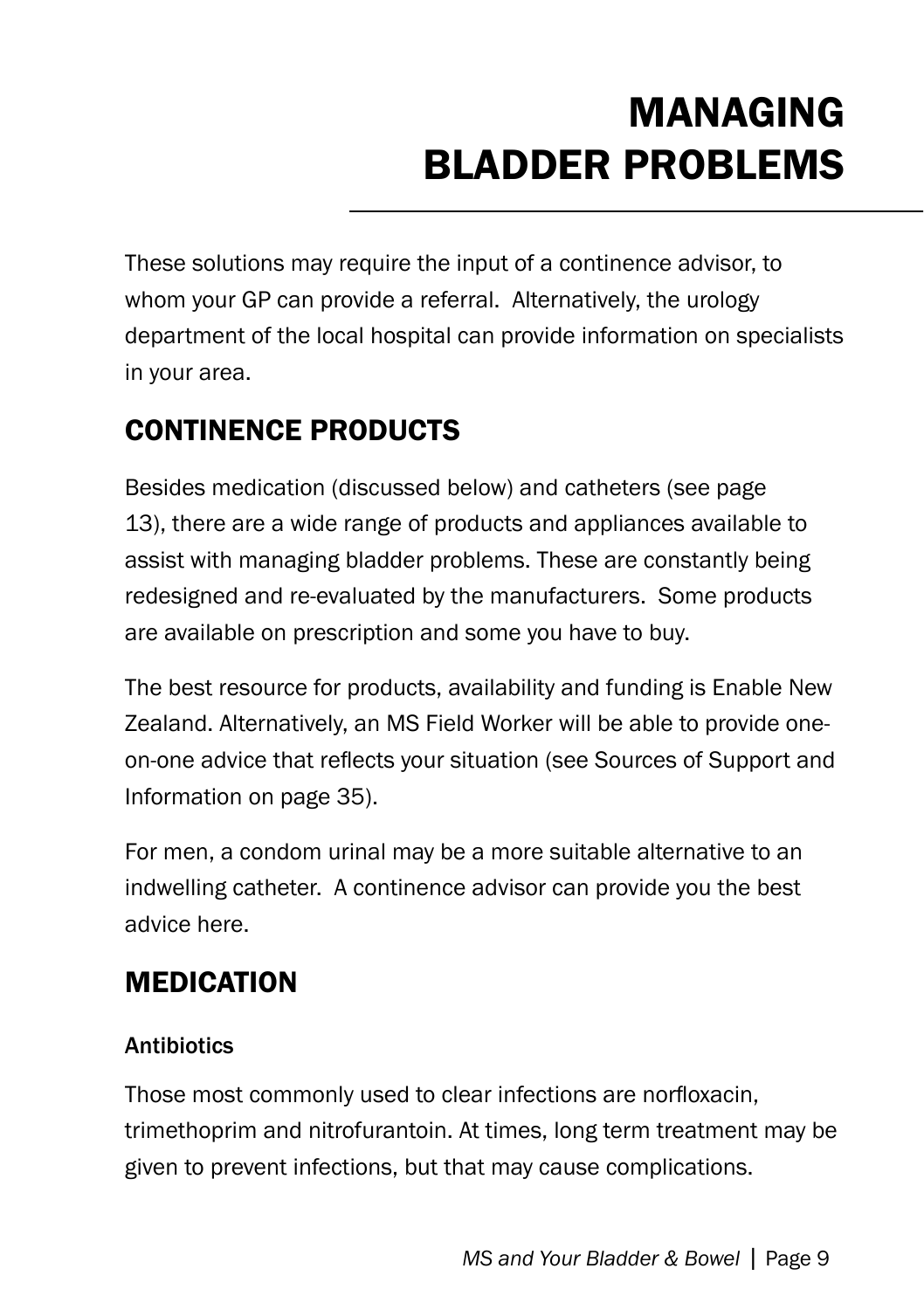# MANAGing BLADDER problems

These solutions may require the input of a continence advisor, to whom your GP can provide a referral. Alternatively, the urology department of the local hospital can provide information on specialists in your area.

# Continence Products

Besides medication (discussed below) and catheters (see page 13), there are a wide range of products and appliances available to assist with managing bladder problems. These are constantly being redesigned and re-evaluated by the manufacturers. Some products are available on prescription and some you have to buy.

The best resource for products, availability and funding is Enable New Zealand. Alternatively, an MS Field Worker will be able to provide oneon-one advice that reflects your situation (see Sources of Support and Information on page 35).

For men, a condom urinal may be a more suitable alternative to an indwelling catheter. A continence advisor can provide you the best advice here.

### **MEDICATION**

#### **Antibiotics**

Those most commonly used to clear infections are norfloxacin, trimethoprim and nitrofurantoin. At times, long term treatment may be given to prevent infections, but that may cause complications.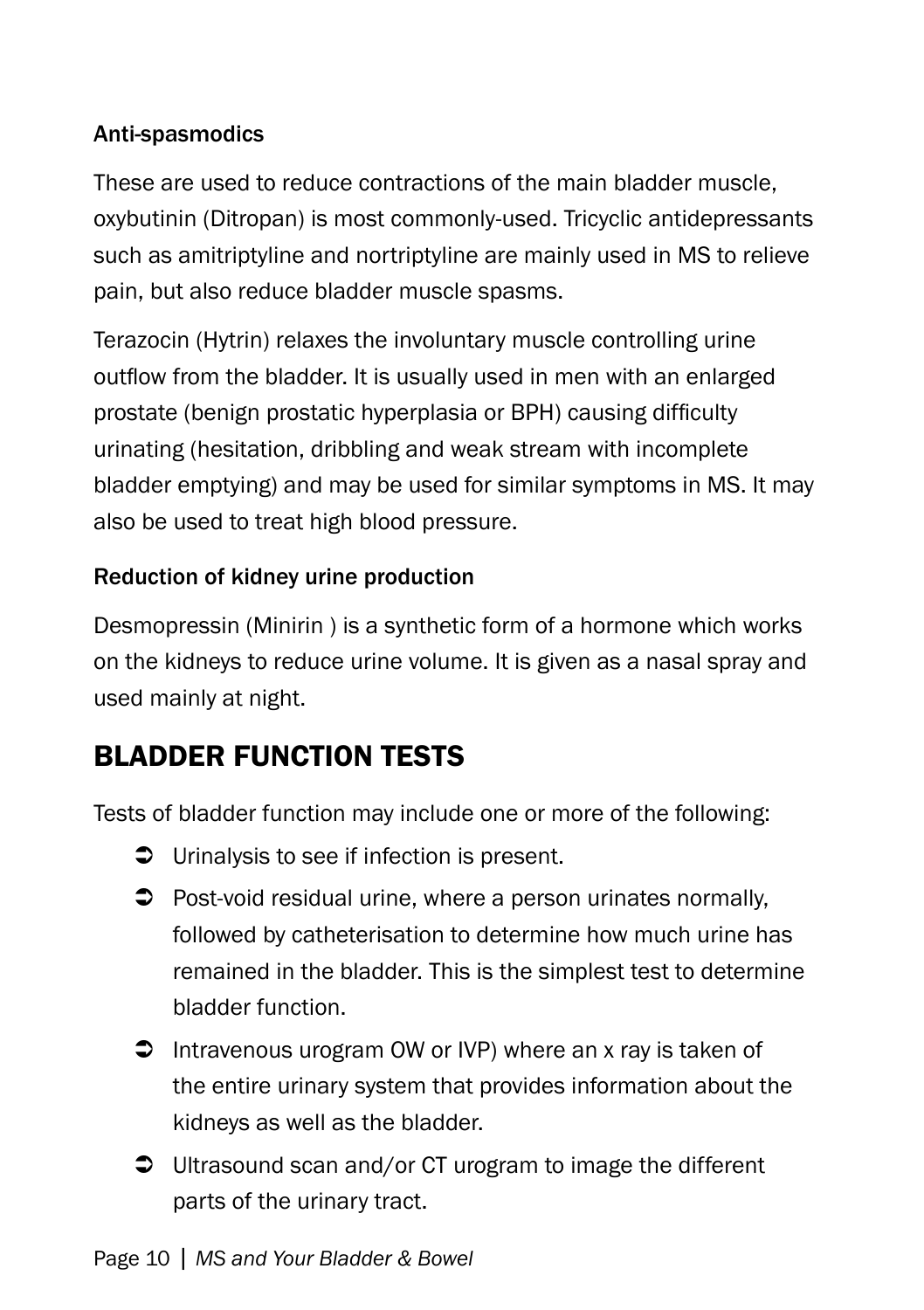#### Anti-spasmodics

These are used to reduce contractions of the main bladder muscle, oxybutinin (Ditropan) is most commonly-used. Tricyclic antidepressants such as amitriptyline and nortriptyline are mainly used in MS to relieve pain, but also reduce bladder muscle spasms.

Terazocin (Hytrin) relaxes the involuntary muscle controlling urine outflow from the bladder. It is usually used in men with an enlarged prostate (benign prostatic hyperplasia or BPH) causing difficulty urinating (hesitation, dribbling and weak stream with incomplete bladder emptying) and may be used for similar symptoms in MS. It may also be used to treat high blood pressure.

#### Reduction of kidney urine production

Desmopressin (Minirin ) is a synthetic form of a hormone which works on the kidneys to reduce urine volume. It is given as a nasal spray and used mainly at night.

# bladder function Tests

Tests of bladder function may include one or more of the following:

- **◯** Urinalysis to see if infection is present.
- $\supset$  Post-void residual urine, where a person urinates normally, followed by catheterisation to determine how much urine has remained in the bladder. This is the simplest test to determine bladder function.
- $\supset$  Intravenous urogram OW or IVP) where an x ray is taken of the entire urinary system that provides information about the kidneys as well as the bladder.
- Ultrasound scan and/or CT urogram to image the different parts of the urinary tract.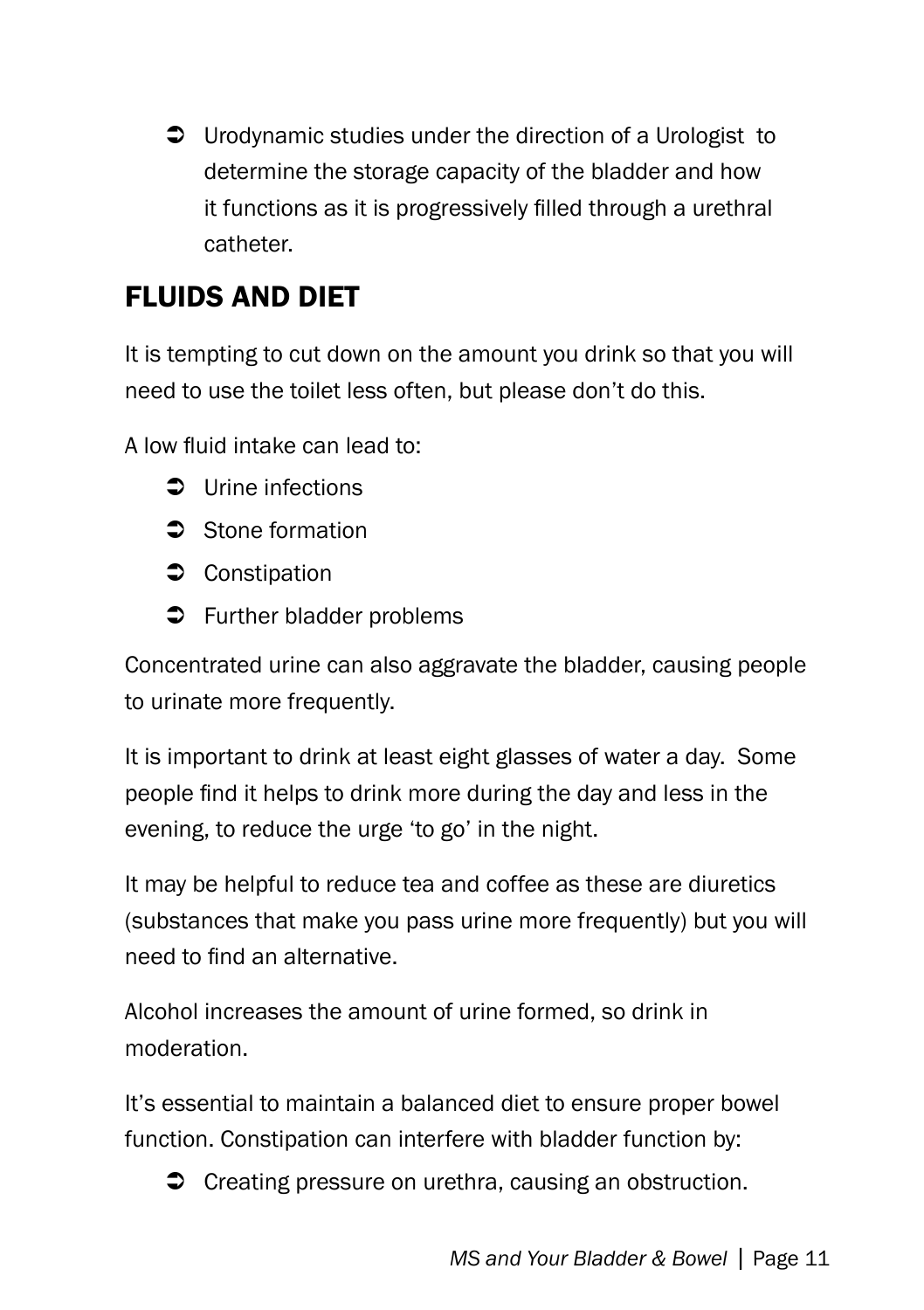Urodynamic studies under the direction of a Urologist to determine the storage capacity of the bladder and how it functions as it is progressively filled through a urethral catheter.

# Fluids and diet

It is tempting to cut down on the amount you drink so that you will need to use the toilet less often, but please don't do this.

A low fluid intake can lead to:

- $\bullet$  Urine infections
- Stone formation
- **◯** Constipation
- $\supset$  Further bladder problems

Concentrated urine can also aggravate the bladder, causing people to urinate more frequently.

It is important to drink at least eight glasses of water a day. Some people find it helps to drink more during the day and less in the evening, to reduce the urge 'to go' in the night.

It may be helpful to reduce tea and coffee as these are diuretics (substances that make you pass urine more frequently) but you will need to find an alternative.

Alcohol increases the amount of urine formed, so drink in moderation.

It's essential to maintain a balanced diet to ensure proper bowel function. Constipation can interfere with bladder function by:

 $\bullet$  Creating pressure on urethra, causing an obstruction.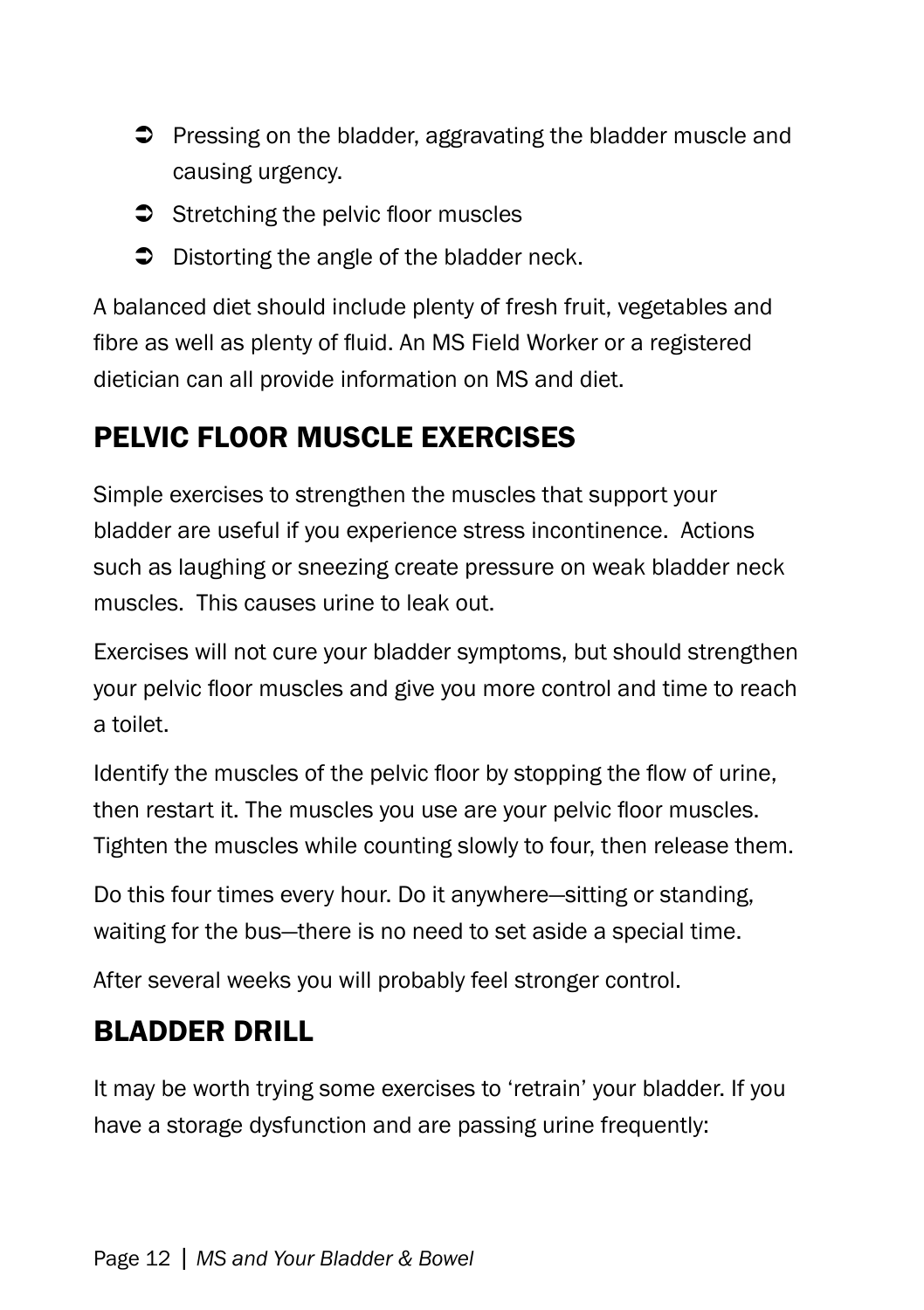- $\supset$  Pressing on the bladder, aggravating the bladder muscle and causing urgency.
- $\supset$  Stretching the pelvic floor muscles
- $\supset$  Distorting the angle of the bladder neck.

A balanced diet should include plenty of fresh fruit, vegetables and fibre as well as plenty of fluid. An MS Field Worker or a registered dietician can all provide information on MS and diet.

# Pelvic Floor Muscle Exercises

Simple exercises to strengthen the muscles that support your bladder are useful if you experience stress incontinence. Actions such as laughing or sneezing create pressure on weak bladder neck muscles. This causes urine to leak out.

Exercises will not cure your bladder symptoms, but should strengthen your pelvic floor muscles and give you more control and time to reach a toilet.

Identify the muscles of the pelvic floor by stopping the flow of urine, then restart it. The muscles you use are your pelvic floor muscles. Tighten the muscles while counting slowly to four, then release them.

Do this four times every hour. Do it anywhere—sitting or standing, waiting for the bus—there is no need to set aside a special time.

After several weeks you will probably feel stronger control.

# Bladder Drill

It may be worth trying some exercises to 'retrain' your bladder. If you have a storage dysfunction and are passing urine frequently: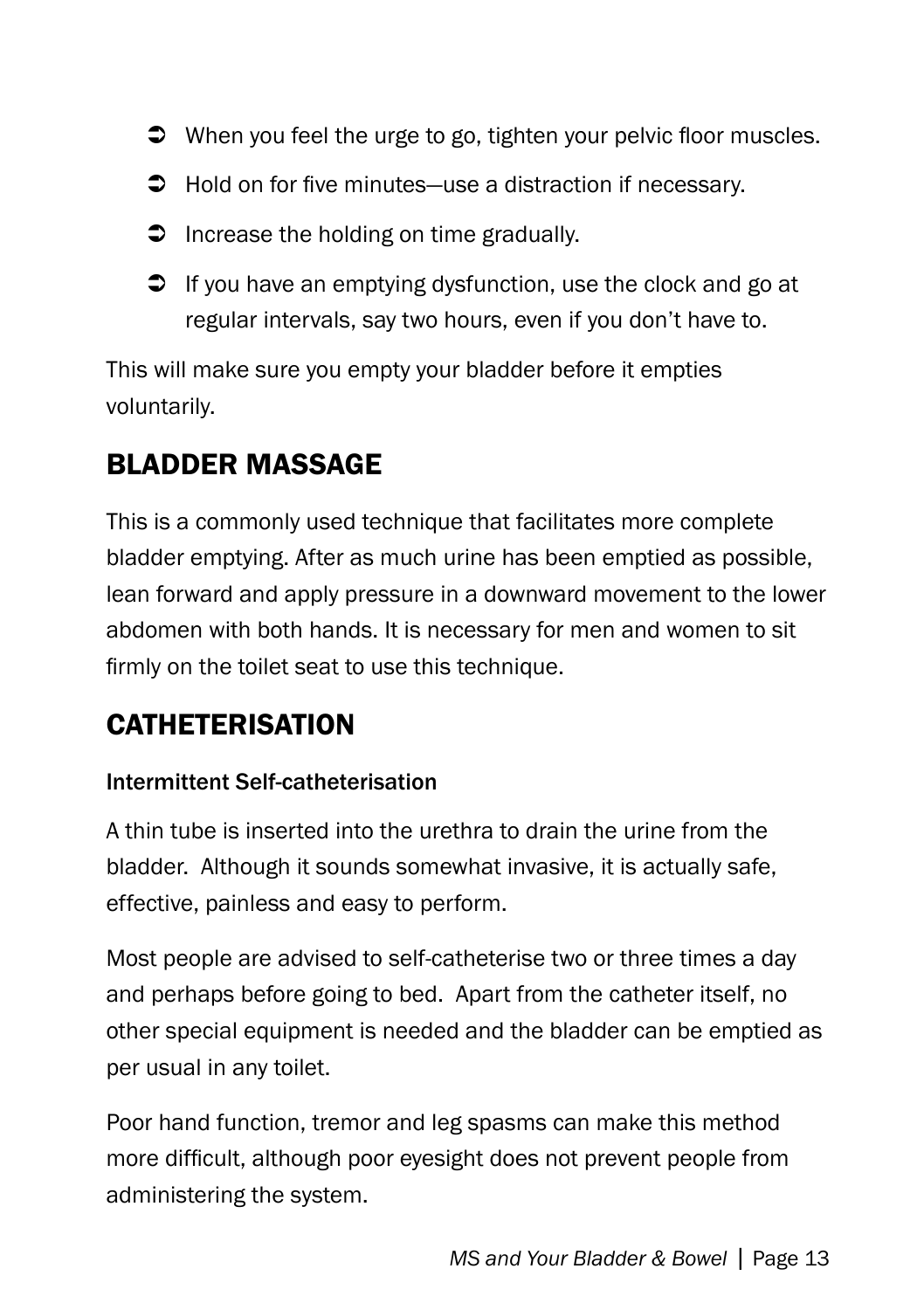- $\supset$  When you feel the urge to go, tighten your pelvic floor muscles.
- $\supset$  Hold on for five minutes—use a distraction if necessary.
- $\supset$  Increase the holding on time gradually.
- $\supset$  If you have an emptying dysfunction, use the clock and go at regular intervals, say two hours, even if you don't have to.

This will make sure you empty your bladder before it empties voluntarily.

#### Bladder massage

This is a commonly used technique that facilitates more complete bladder emptying. After as much urine has been emptied as possible, lean forward and apply pressure in a downward movement to the lower abdomen with both hands. It is necessary for men and women to sit firmly on the toilet seat to use this technique.

### **CATHETERISATION**

#### Intermittent Self-catheterisation

A thin tube is inserted into the urethra to drain the urine from the bladder. Although it sounds somewhat invasive, it is actually safe, effective, painless and easy to perform.

Most people are advised to self-catheterise two or three times a day and perhaps before going to bed. Apart from the catheter itself, no other special equipment is needed and the bladder can be emptied as per usual in any toilet.

Poor hand function, tremor and leg spasms can make this method more difficult, although poor eyesight does not prevent people from administering the system.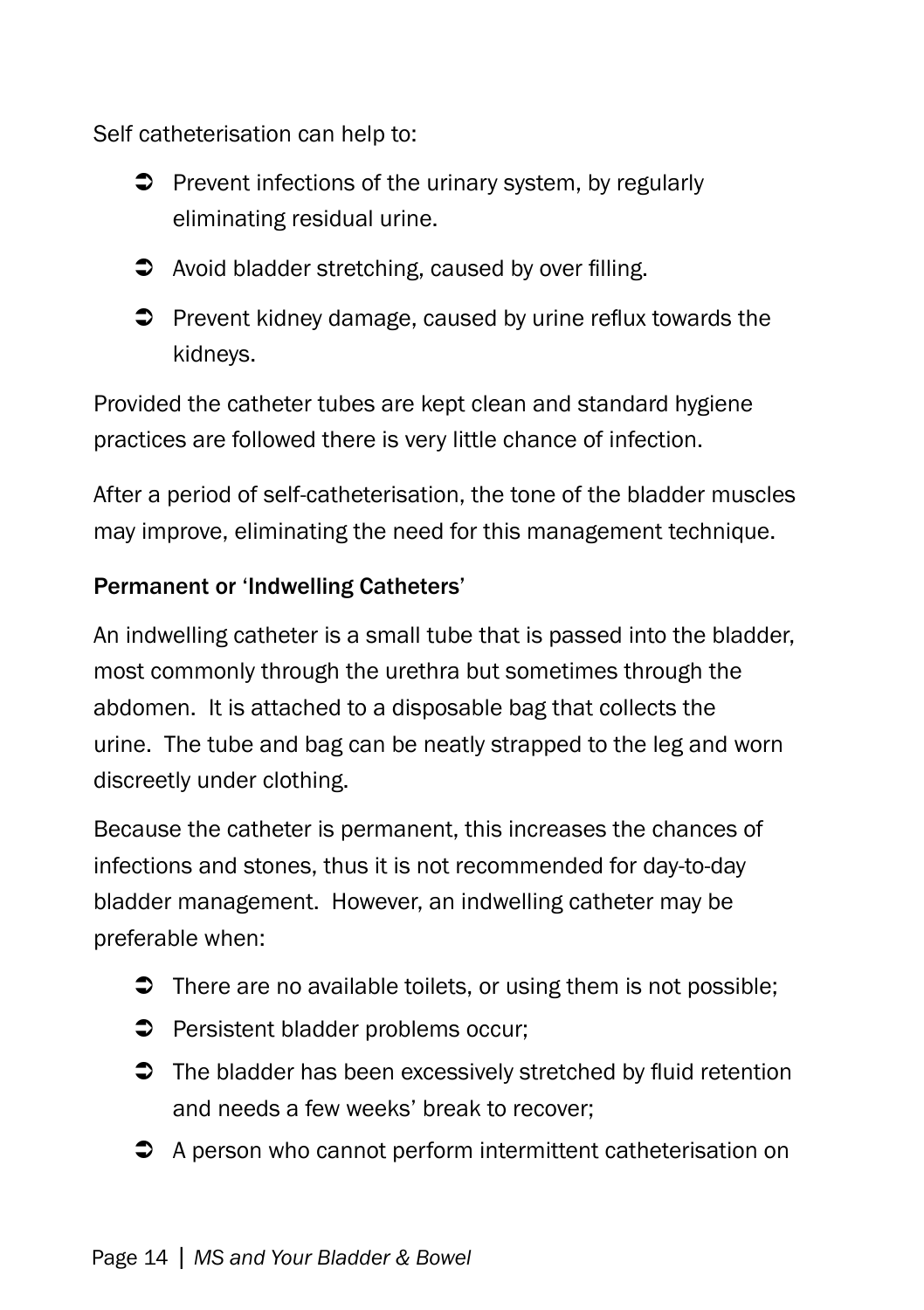Self catheterisation can help to:

- $\supset$  Prevent infections of the urinary system, by regularly eliminating residual urine.
- $\bullet$  Avoid bladder stretching, caused by over filling.
- $\supset$  Prevent kidney damage, caused by urine reflux towards the kidneys.

Provided the catheter tubes are kept clean and standard hygiene practices are followed there is very little chance of infection.

After a period of self-catheterisation, the tone of the bladder muscles may improve, eliminating the need for this management technique.

#### Permanent or 'Indwelling Catheters'

An indwelling catheter is a small tube that is passed into the bladder, most commonly through the urethra but sometimes through the abdomen. It is attached to a disposable bag that collects the urine. The tube and bag can be neatly strapped to the leg and worn discreetly under clothing.

Because the catheter is permanent, this increases the chances of infections and stones, thus it is not recommended for day-to-day bladder management. However, an indwelling catheter may be preferable when:

- $\supset$  There are no available toilets, or using them is not possible;
- **Persistent bladder problems occur;**
- $\supset$  The bladder has been excessively stretched by fluid retention and needs a few weeks' break to recover;
- **→** A person who cannot perform intermittent catheterisation on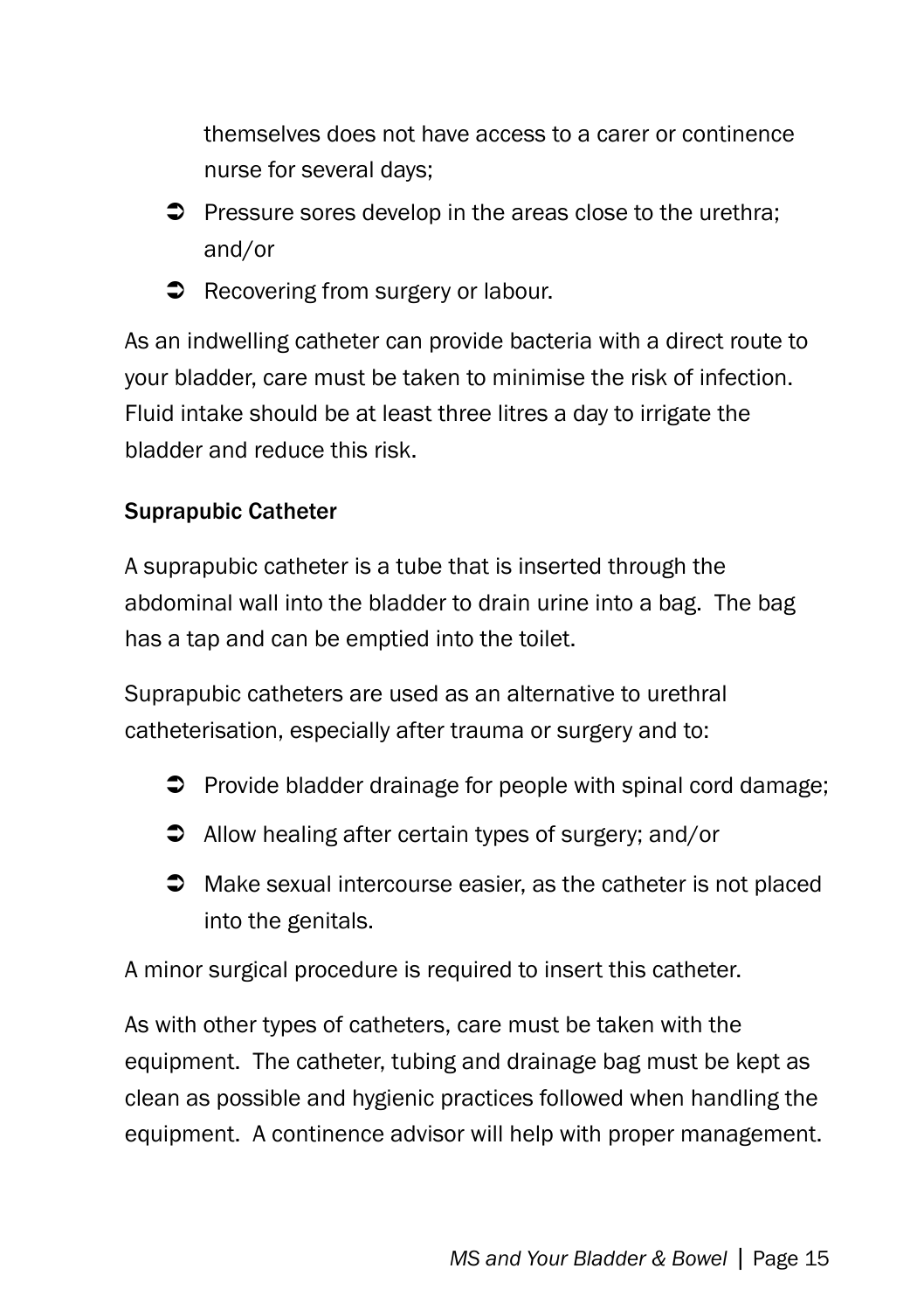themselves does not have access to a carer or continence nurse for several days;

- $\supset$  Pressure sores develop in the areas close to the urethra: and/or
- Recovering from surgery or labour.

As an indwelling catheter can provide bacteria with a direct route to your bladder, care must be taken to minimise the risk of infection. Fluid intake should be at least three litres a day to irrigate the bladder and reduce this risk.

#### Suprapubic Catheter

A suprapubic catheter is a tube that is inserted through the abdominal wall into the bladder to drain urine into a bag. The bag has a tap and can be emptied into the toilet.

Suprapubic catheters are used as an alternative to urethral catheterisation, especially after trauma or surgery and to:

- $\supset$  Provide bladder drainage for people with spinal cord damage;
- $\supset$  Allow healing after certain types of surgery; and/or
- $\supset$  Make sexual intercourse easier, as the catheter is not placed into the genitals.

A minor surgical procedure is required to insert this catheter.

As with other types of catheters, care must be taken with the equipment. The catheter, tubing and drainage bag must be kept as clean as possible and hygienic practices followed when handling the equipment. A continence advisor will help with proper management.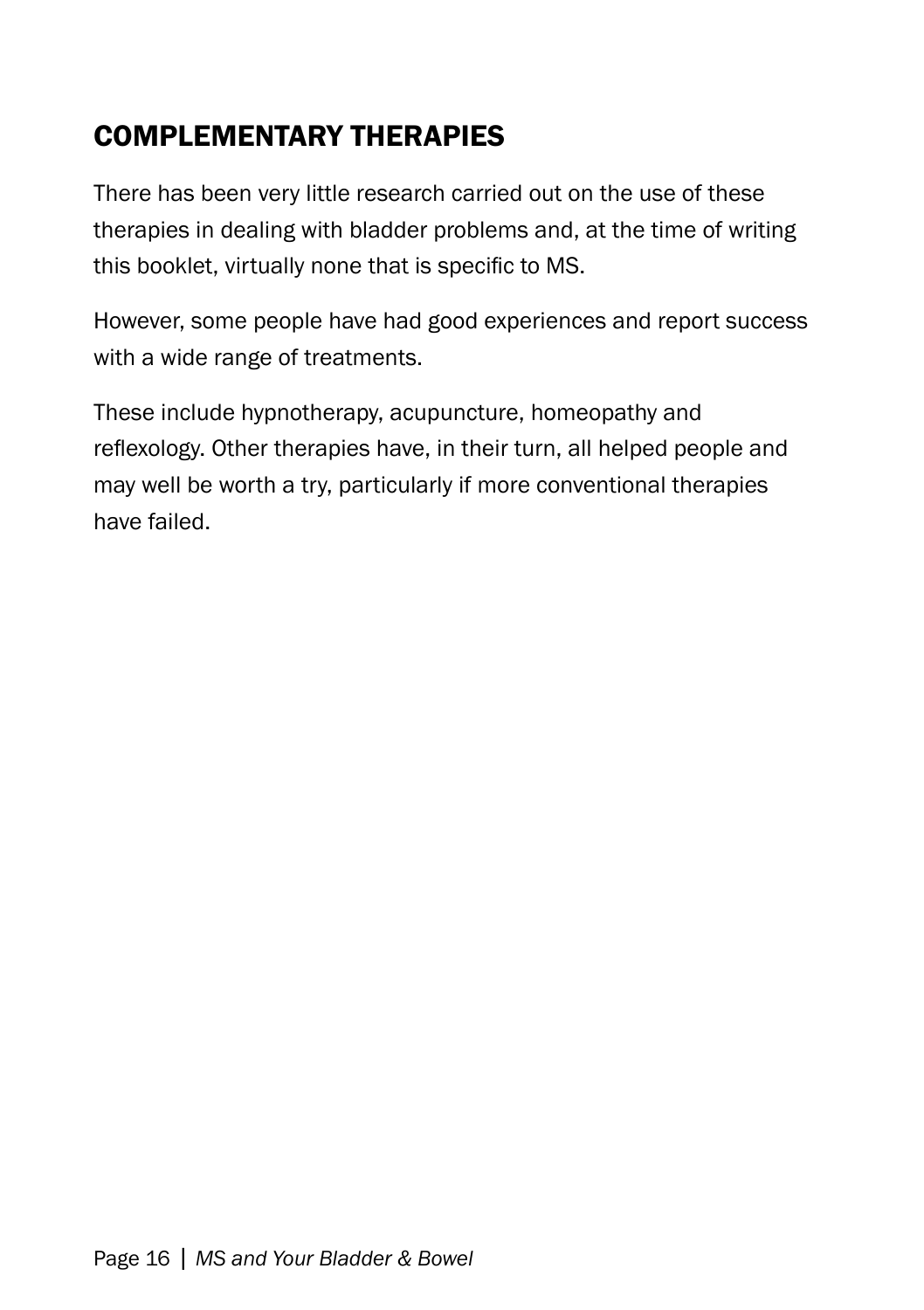### Complementary therapies

There has been very little research carried out on the use of these therapies in dealing with bladder problems and, at the time of writing this booklet, virtually none that is specific to MS.

However, some people have had good experiences and report success with a wide range of treatments.

These include hypnotherapy, acupuncture, homeopathy and reflexology. Other therapies have, in their turn, all helped people and may well be worth a try, particularly if more conventional therapies have failed.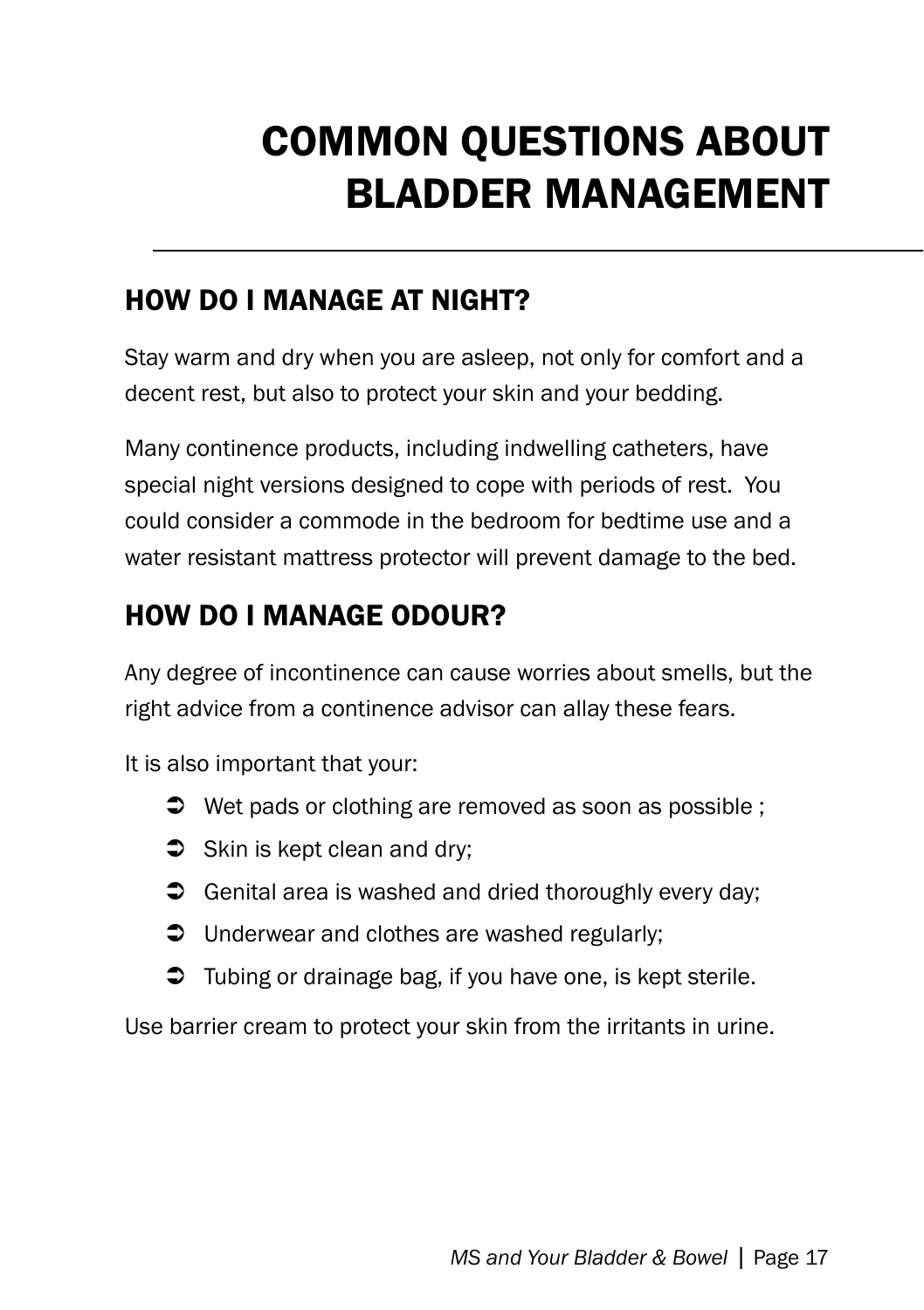# COMMON QUESTIONS ABOUT BLADDER MANAGEMENT

#### How do I manage at night?

Stay warm and dry when you are asleep, not only for comfort and a decent rest, but also to protect your skin and your bedding.

Many continence products, including indwelling catheters, have special night versions designed to cope with periods of rest. You could consider a commode in the bedroom for bedtime use and a water resistant mattress protector will prevent damage to the bed.

### How do I manage odour?

Any degree of incontinence can cause worries about smells, but the right advice from a continence advisor can allay these fears.

It is also important that your:

- $\supset$  Wet pads or clothing are removed as soon as possible ;
- $\supset$  Skin is kept clean and dry:
- $\supset$  Genital area is washed and dried thoroughly every day;
- $\supset$  Underwear and clothes are washed regularly;
- $\supset$  Tubing or drainage bag, if you have one, is kept sterile.

Use barrier cream to protect your skin from the irritants in urine.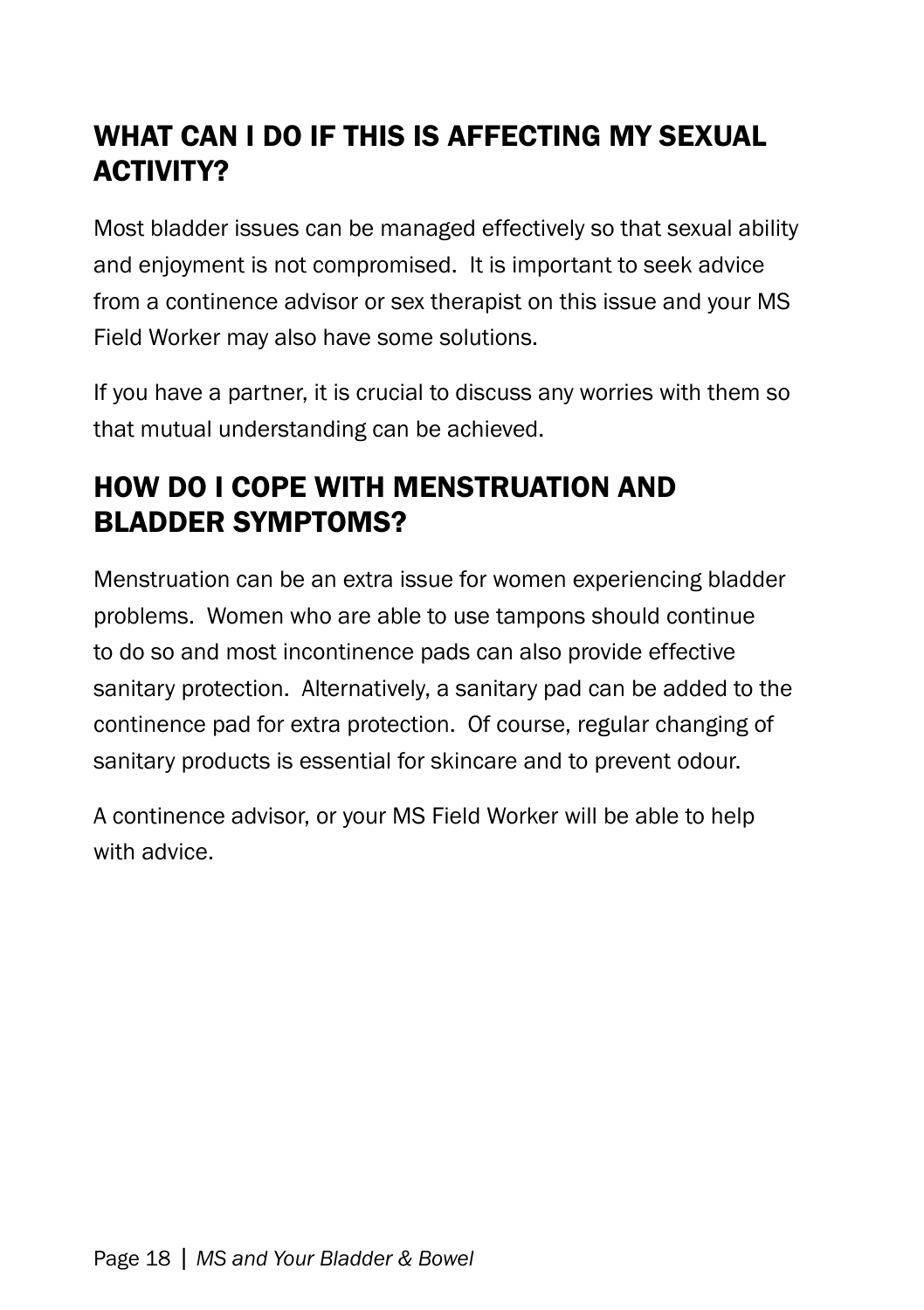### WHAT CAN I DO IF THIS IS AFFECTING MY SEXUAL **ACTIVITY?**

Most bladder issues can be managed effectively so that sexual ability and enjoyment is not compromised. It is important to seek advice from a continence advisor or sex therapist on this issue and your MS Field Worker may also have some solutions.

If you have a partner, it is crucial to discuss any worries with them so that mutual understanding can be achieved.

### How do I cope with menstruation and bladder symptoms?

Menstruation can be an extra issue for women experiencing bladder problems. Women who are able to use tampons should continue to do so and most incontinence pads can also provide effective sanitary protection. Alternatively, a sanitary pad can be added to the continence pad for extra protection. Of course, regular changing of sanitary products is essential for skincare and to prevent odour.

A continence advisor, or your MS Field Worker will be able to help with advice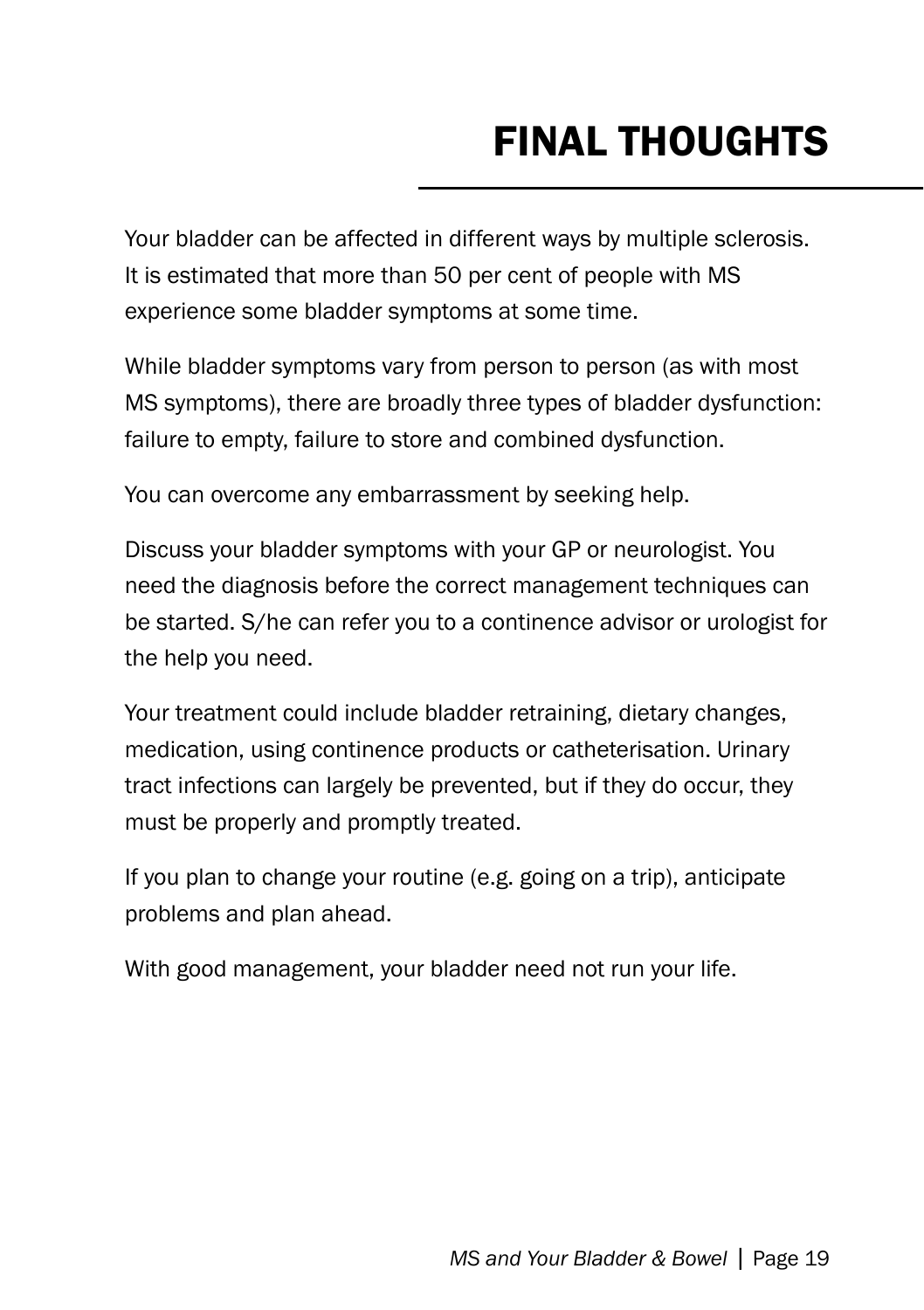# Final Thoughts

Your bladder can be affected in different ways by multiple sclerosis. It is estimated that more than 50 per cent of people with MS experience some bladder symptoms at some time.

While bladder symptoms vary from person to person (as with most MS symptoms), there are broadly three types of bladder dysfunction: failure to empty, failure to store and combined dysfunction.

You can overcome any embarrassment by seeking help.

Discuss your bladder symptoms with your GP or neurologist. You need the diagnosis before the correct management techniques can be started. S/he can refer you to a continence advisor or urologist for the help you need.

Your treatment could include bladder retraining, dietary changes, medication, using continence products or catheterisation. Urinary tract infections can largely be prevented, but if they do occur, they must be properly and promptly treated.

If you plan to change your routine (e.g. going on a trip), anticipate problems and plan ahead.

With good management, your bladder need not run your life.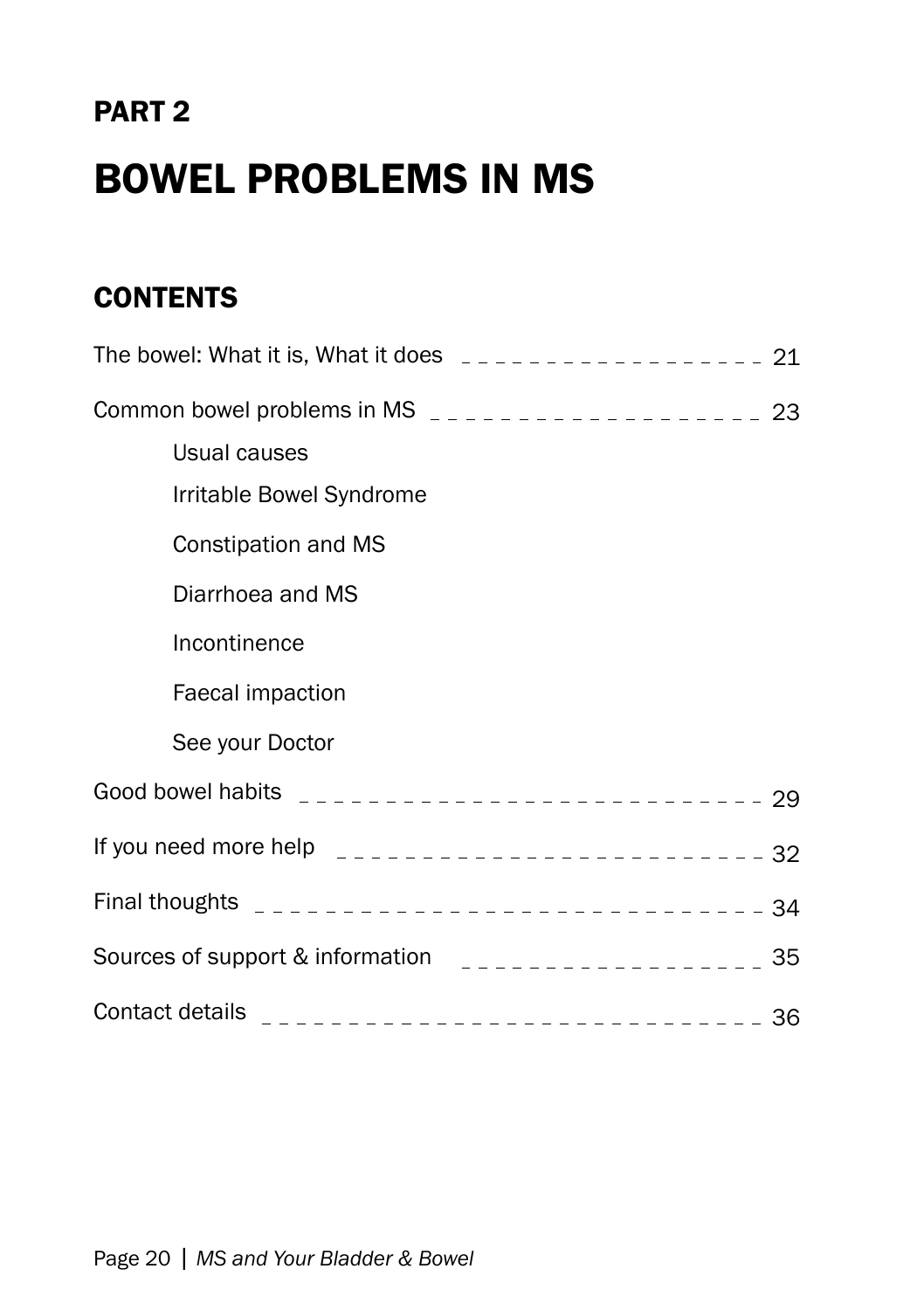# PART 2 Bowel Problems in MS

### **CONTENTS**

| Usual causes                                                                                                                                                                                                                                                                                       |  |
|----------------------------------------------------------------------------------------------------------------------------------------------------------------------------------------------------------------------------------------------------------------------------------------------------|--|
| Irritable Bowel Syndrome                                                                                                                                                                                                                                                                           |  |
| Constipation and MS                                                                                                                                                                                                                                                                                |  |
| Diarrhoea and MS                                                                                                                                                                                                                                                                                   |  |
| Incontinence                                                                                                                                                                                                                                                                                       |  |
| Faecal impaction                                                                                                                                                                                                                                                                                   |  |
| See your Doctor                                                                                                                                                                                                                                                                                    |  |
|                                                                                                                                                                                                                                                                                                    |  |
| If you need more help $\frac{1}{2}$ = $\frac{1}{2}$ = $\frac{1}{2}$ = $\frac{1}{2}$ = $\frac{1}{2}$ = $\frac{1}{2}$ = $\frac{1}{2}$ = $\frac{1}{2}$ = $\frac{1}{2}$ = $\frac{1}{2}$ = $\frac{1}{2}$ = $\frac{1}{2}$ = $\frac{1}{2}$ = $\frac{1}{2}$ = $\frac{1}{2}$ = $\frac{1}{2}$ = $\frac{1}{2$ |  |
|                                                                                                                                                                                                                                                                                                    |  |
|                                                                                                                                                                                                                                                                                                    |  |
|                                                                                                                                                                                                                                                                                                    |  |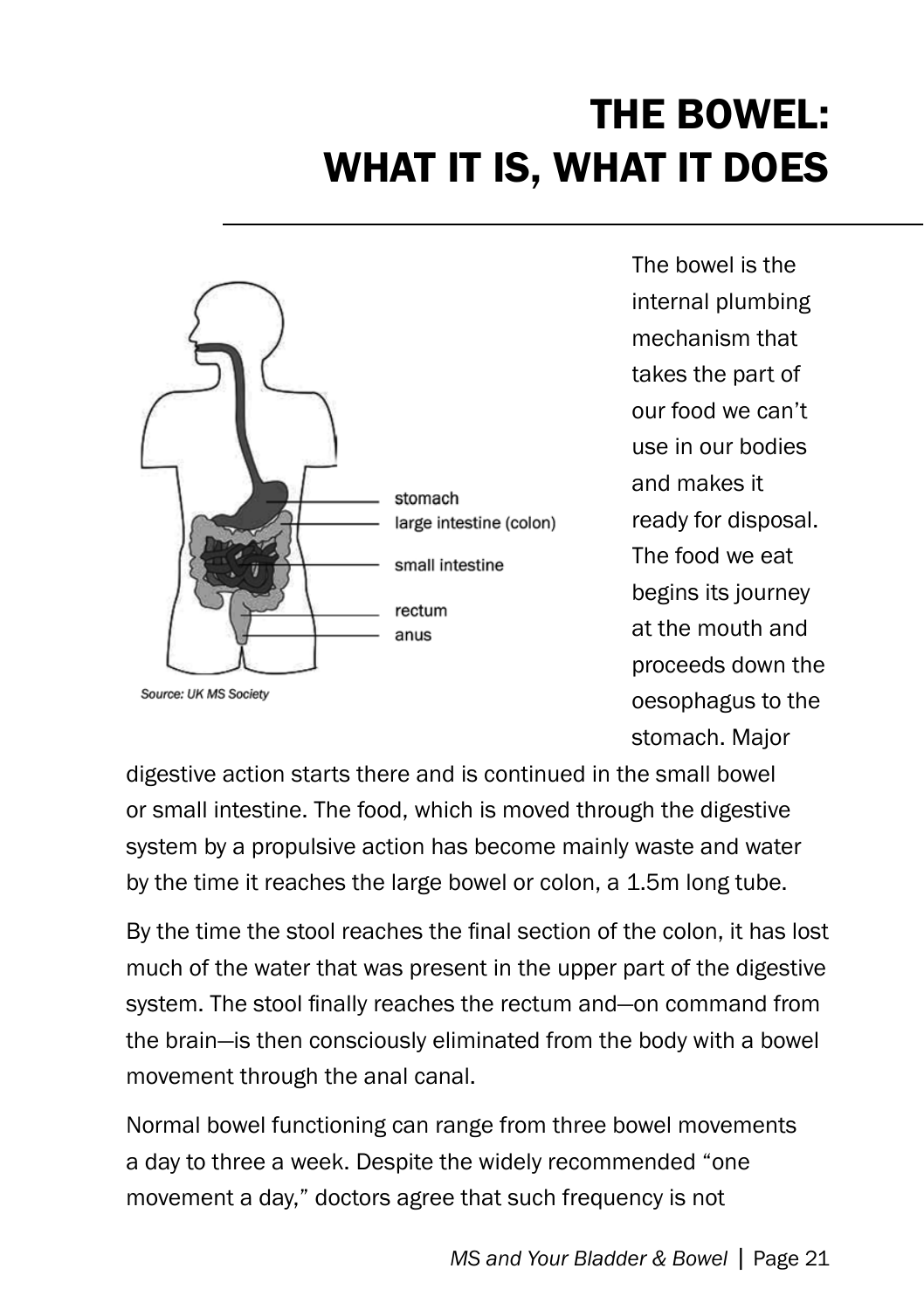# The Bowel: What It Is, What It Does



The bowel is the internal plumbing mechanism that takes the part of our food we can't use in our bodies and makes it ready for disposal. The food we eat begins its journey at the mouth and proceeds down the oesophagus to the stomach. Major

digestive action starts there and is continued in the small bowel or small intestine. The food, which is moved through the digestive system by a propulsive action has become mainly waste and water by the time it reaches the large bowel or colon, a 1.5m long tube.

By the time the stool reaches the final section of the colon, it has lost much of the water that was present in the upper part of the digestive system. The stool finally reaches the rectum and—on command from the brain—is then consciously eliminated from the body with a bowel movement through the anal canal.

Normal bowel functioning can range from three bowel movements a day to three a week. Despite the widely recommended "one movement a day," doctors agree that such frequency is not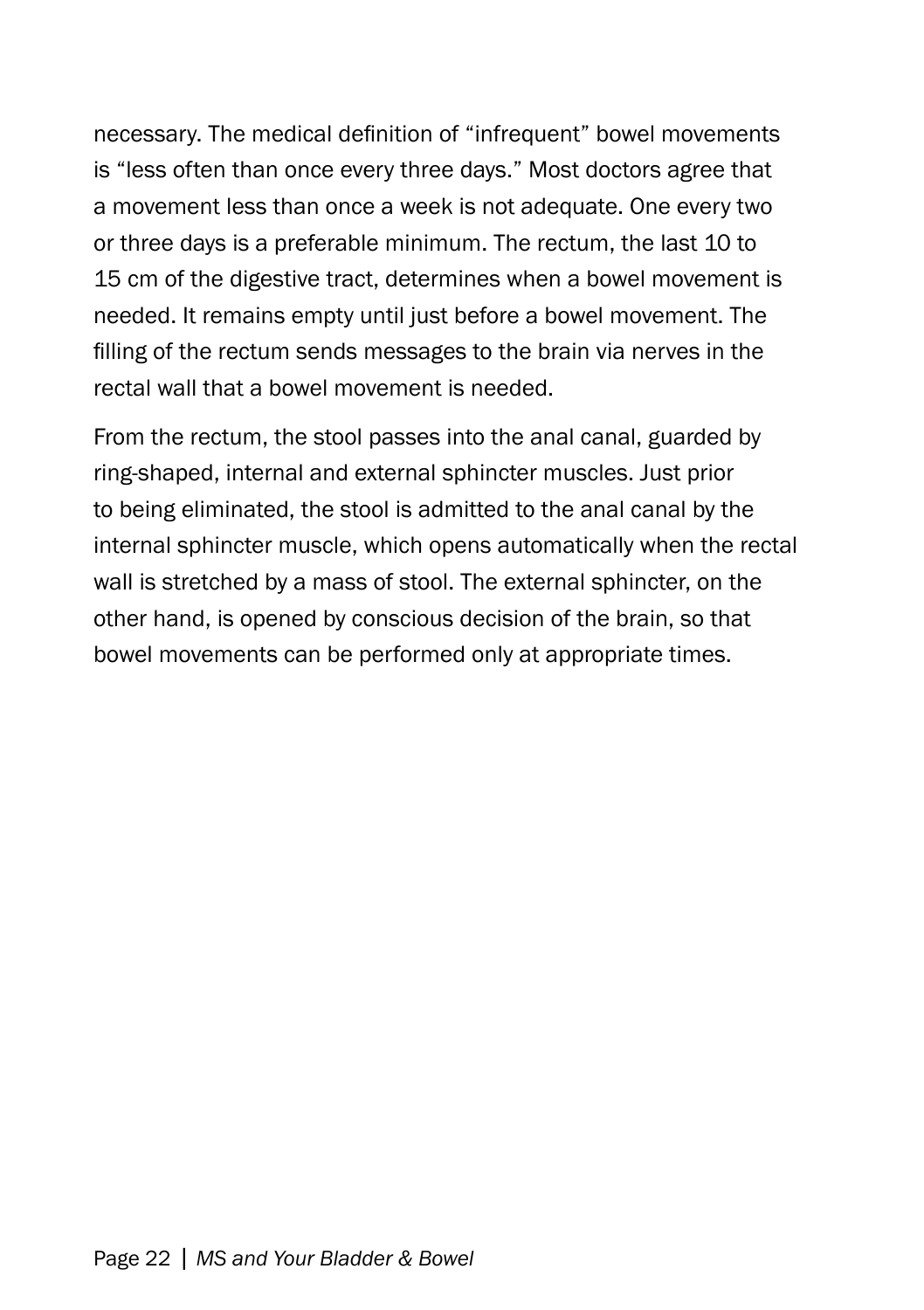necessary. The medical definition of "infrequent" bowel movements is "less often than once every three days." Most doctors agree that a movement less than once a week is not adequate. One every two or three days is a preferable minimum. The rectum, the last 10 to 15 cm of the digestive tract, determines when a bowel movement is needed. It remains empty until just before a bowel movement. The filling of the rectum sends messages to the brain via nerves in the rectal wall that a bowel movement is needed.

From the rectum, the stool passes into the anal canal, guarded by ring-shaped, internal and external sphincter muscles. Just prior to being eliminated, the stool is admitted to the anal canal by the internal sphincter muscle, which opens automatically when the rectal wall is stretched by a mass of stool. The external sphincter, on the other hand, is opened by conscious decision of the brain, so that bowel movements can be performed only at appropriate times.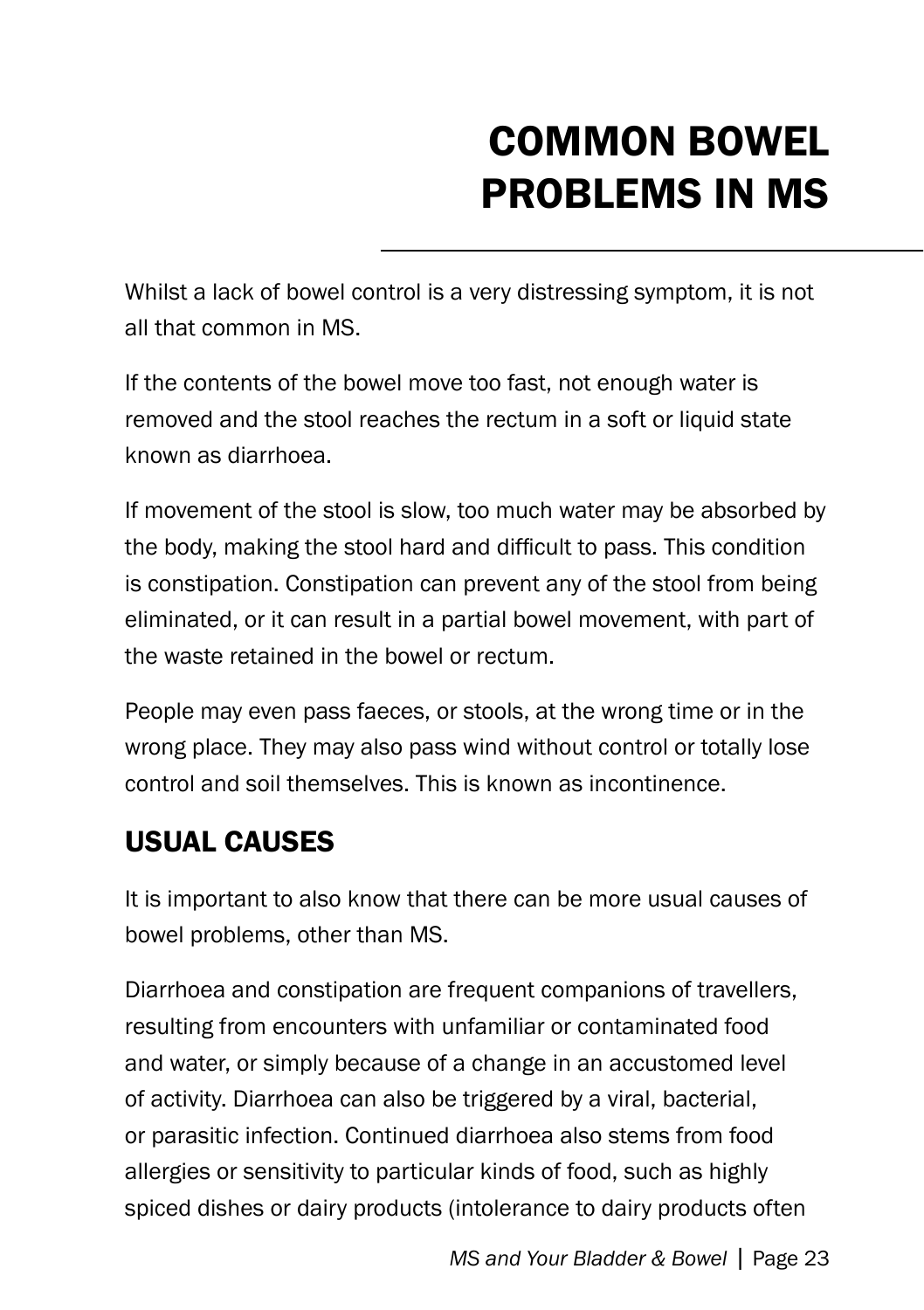# COMMON Bowel problems in ms

Whilst a lack of bowel control is a very distressing symptom, it is not all that common in MS.

If the contents of the bowel move too fast, not enough water is removed and the stool reaches the rectum in a soft or liquid state known as diarrhoea.

If movement of the stool is slow, too much water may be absorbed by the body, making the stool hard and difficult to pass. This condition is constipation. Constipation can prevent any of the stool from being eliminated, or it can result in a partial bowel movement, with part of the waste retained in the bowel or rectum.

People may even pass faeces, or stools, at the wrong time or in the wrong place. They may also pass wind without control or totally lose control and soil themselves. This is known as incontinence.

### USUAL causes

It is important to also know that there can be more usual causes of bowel problems, other than MS.

Diarrhoea and constipation are frequent companions of travellers, resulting from encounters with unfamiliar or contaminated food and water, or simply because of a change in an accustomed level of activity. Diarrhoea can also be triggered by a viral, bacterial, or parasitic infection. Continued diarrhoea also stems from food allergies or sensitivity to particular kinds of food, such as highly spiced dishes or dairy products (intolerance to dairy products often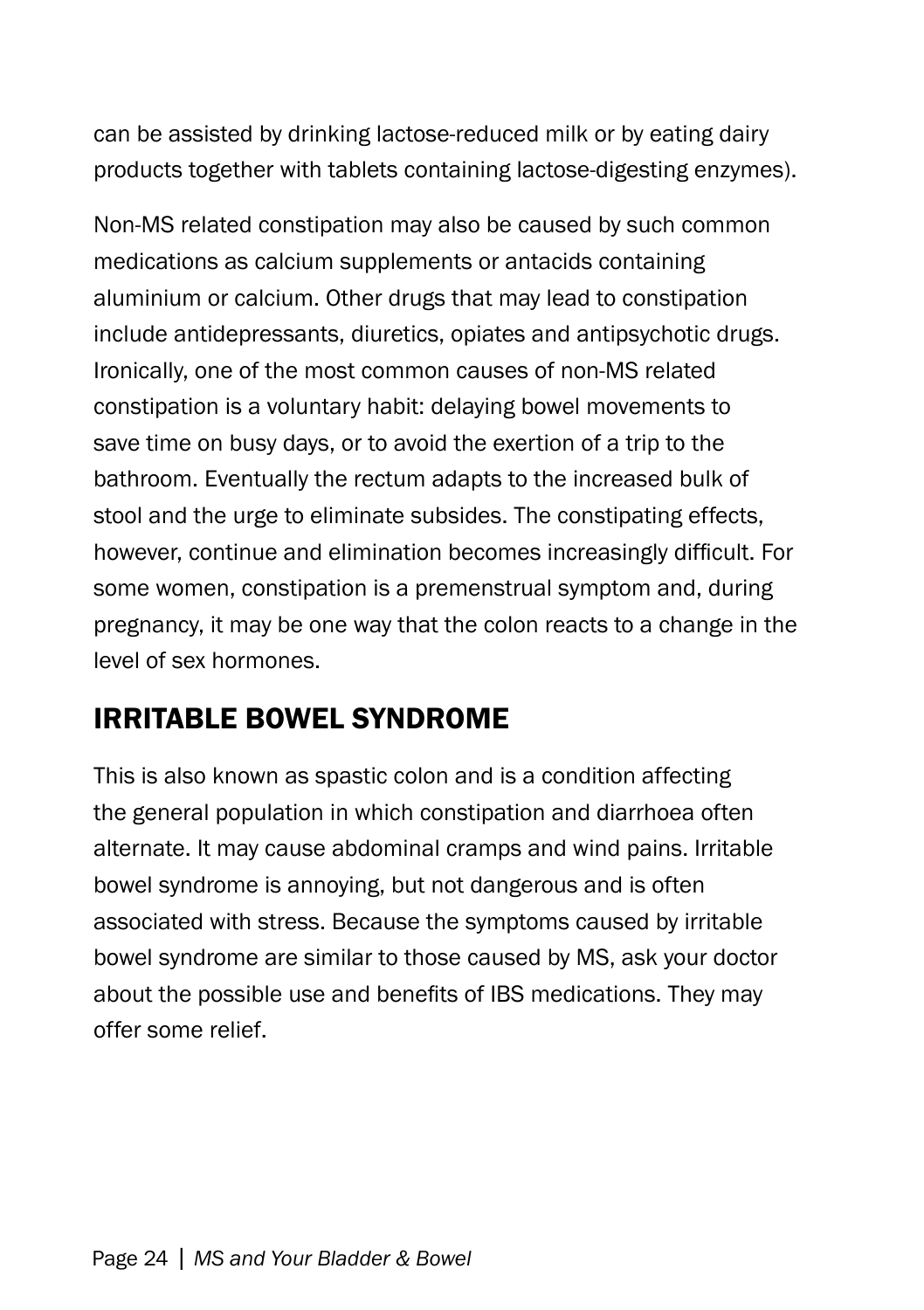can be assisted by drinking lactose-reduced milk or by eating dairy products together with tablets containing lactose-digesting enzymes).

Non-MS related constipation may also be caused by such common medications as calcium supplements or antacids containing aluminium or calcium. Other drugs that may lead to constipation include antidepressants, diuretics, opiates and antipsychotic drugs. Ironically, one of the most common causes of non-MS related constipation is a voluntary habit: delaying bowel movements to save time on busy days, or to avoid the exertion of a trip to the bathroom. Eventually the rectum adapts to the increased bulk of stool and the urge to eliminate subsides. The constipating effects, however, continue and elimination becomes increasingly difficult. For some women, constipation is a premenstrual symptom and, during pregnancy, it may be one way that the colon reacts to a change in the level of sex hormones.

### Irritable bowel syndrome

This is also known as spastic colon and is a condition affecting the general population in which constipation and diarrhoea often alternate. It may cause abdominal cramps and wind pains. Irritable bowel syndrome is annoying, but not dangerous and is often associated with stress. Because the symptoms caused by irritable bowel syndrome are similar to those caused by MS, ask your doctor about the possible use and benefits of IBS medications. They may offer some relief.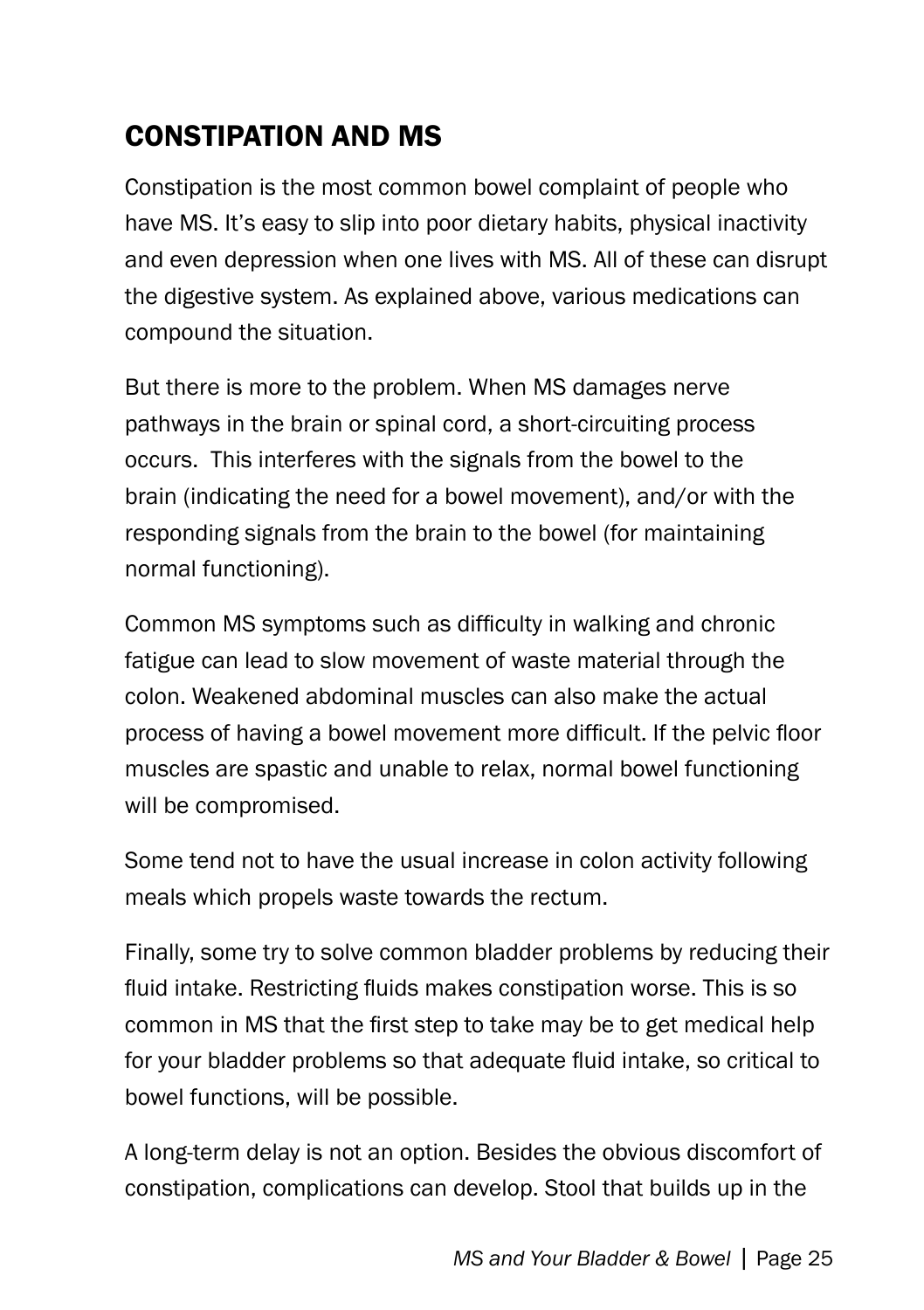### Constipation and MS

Constipation is the most common bowel complaint of people who have MS. It's easy to slip into poor dietary habits, physical inactivity and even depression when one lives with MS. All of these can disrupt the digestive system. As explained above, various medications can compound the situation.

But there is more to the problem. When MS damages nerve pathways in the brain or spinal cord, a short-circuiting process occurs. This interferes with the signals from the bowel to the brain (indicating the need for a bowel movement), and/or with the responding signals from the brain to the bowel (for maintaining normal functioning).

Common MS symptoms such as difficulty in walking and chronic fatigue can lead to slow movement of waste material through the colon. Weakened abdominal muscles can also make the actual process of having a bowel movement more difficult. If the pelvic floor muscles are spastic and unable to relax, normal bowel functioning will be compromised.

Some tend not to have the usual increase in colon activity following meals which propels waste towards the rectum.

Finally, some try to solve common bladder problems by reducing their fluid intake. Restricting fluids makes constipation worse. This is so common in MS that the first step to take may be to get medical help for your bladder problems so that adequate fluid intake, so critical to bowel functions, will be possible.

A long-term delay is not an option. Besides the obvious discomfort of constipation, complications can develop. Stool that builds up in the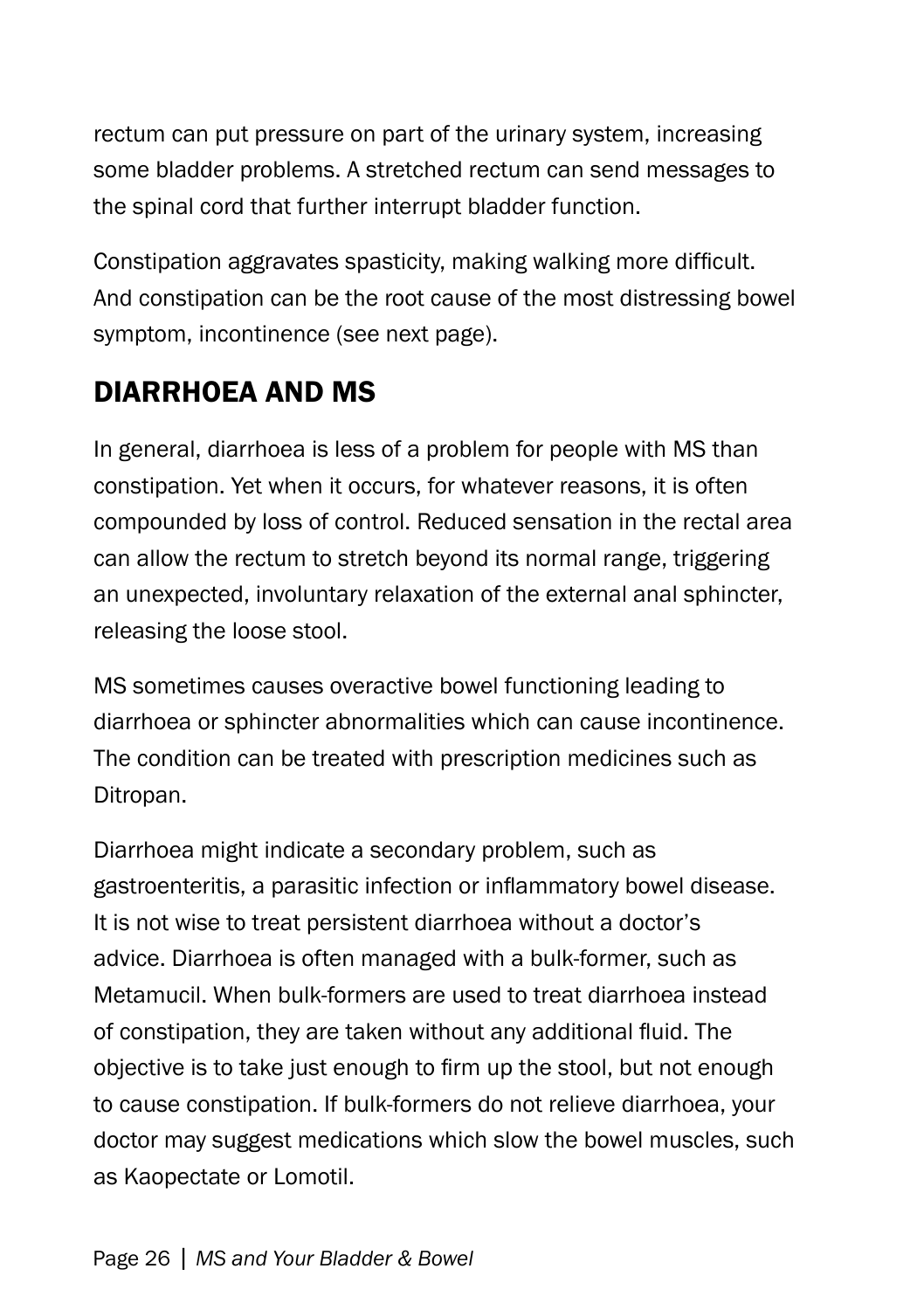rectum can put pressure on part of the urinary system, increasing some bladder problems. A stretched rectum can send messages to the spinal cord that further interrupt bladder function.

Constipation aggravates spasticity, making walking more difficult. And constipation can be the root cause of the most distressing bowel symptom, incontinence (see next page).

### Diarrhoea and MS

In general, diarrhoea is less of a problem for people with MS than constipation. Yet when it occurs, for whatever reasons, it is often compounded by loss of control. Reduced sensation in the rectal area can allow the rectum to stretch beyond its normal range, triggering an unexpected, involuntary relaxation of the external anal sphincter, releasing the loose stool.

MS sometimes causes overactive bowel functioning leading to diarrhoea or sphincter abnormalities which can cause incontinence. The condition can be treated with prescription medicines such as Ditropan.

Diarrhoea might indicate a secondary problem, such as gastroenteritis, a parasitic infection or inflammatory bowel disease. It is not wise to treat persistent diarrhoea without a doctor's advice. Diarrhoea is often managed with a bulk-former, such as Metamucil. When bulk-formers are used to treat diarrhoea instead of constipation, they are taken without any additional fluid. The objective is to take just enough to firm up the stool, but not enough to cause constipation. If bulk-formers do not relieve diarrhoea, your doctor may suggest medications which slow the bowel muscles, such as Kaopectate or Lomotil.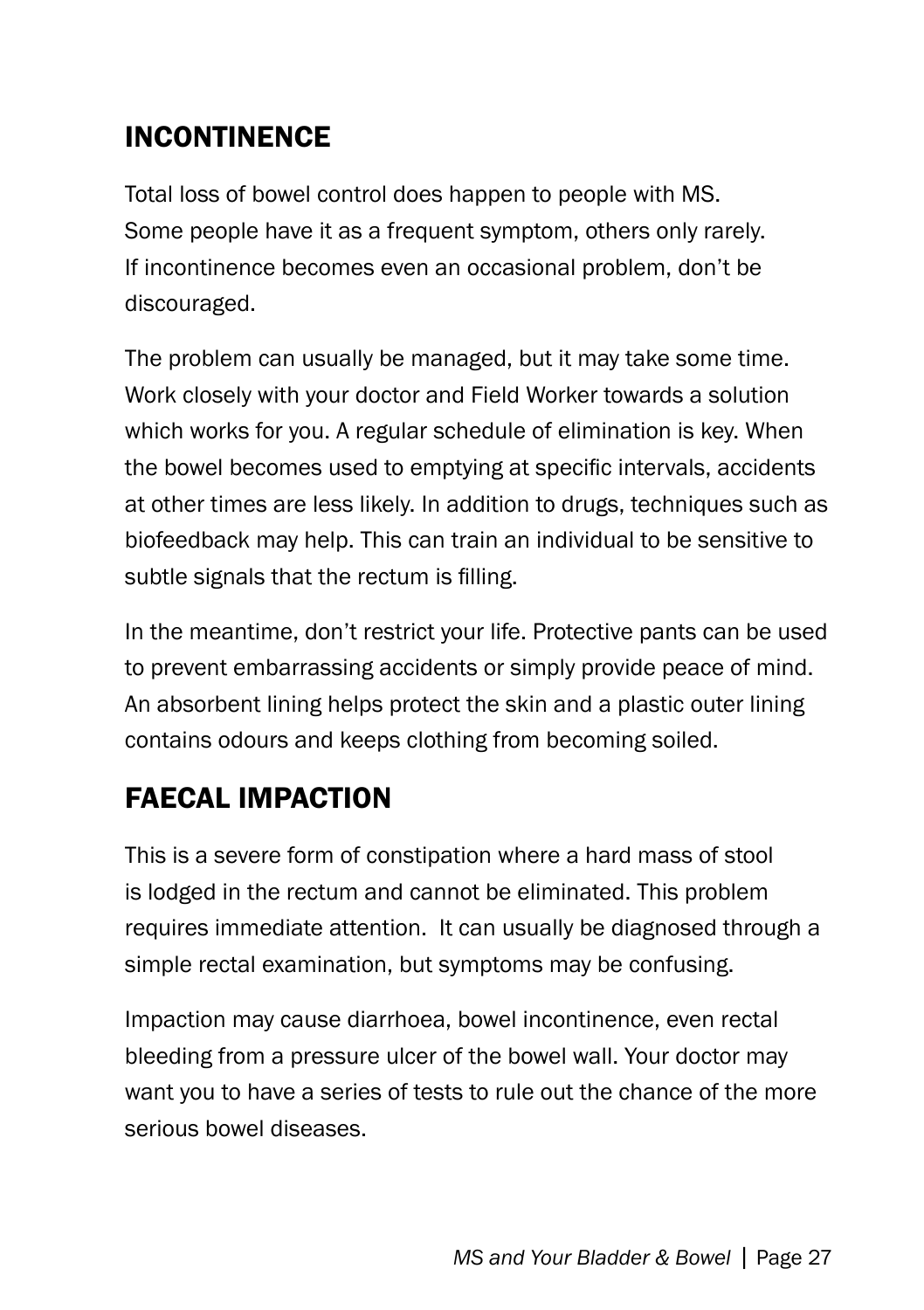### Incontinence

Total loss of bowel control does happen to people with MS. Some people have it as a frequent symptom, others only rarely. If incontinence becomes even an occasional problem, don't be discouraged.

The problem can usually be managed, but it may take some time. Work closely with your doctor and Field Worker towards a solution which works for you. A regular schedule of elimination is key. When the bowel becomes used to emptying at specific intervals, accidents at other times are less likely. In addition to drugs, techniques such as biofeedback may help. This can train an individual to be sensitive to subtle signals that the rectum is filling.

In the meantime, don't restrict your life. Protective pants can be used to prevent embarrassing accidents or simply provide peace of mind. An absorbent lining helps protect the skin and a plastic outer lining contains odours and keeps clothing from becoming soiled.

### FaeCAL Impaction

This is a severe form of constipation where a hard mass of stool is lodged in the rectum and cannot be eliminated. This problem requires immediate attention. It can usually be diagnosed through a simple rectal examination, but symptoms may be confusing.

Impaction may cause diarrhoea, bowel incontinence, even rectal bleeding from a pressure ulcer of the bowel wall. Your doctor may want you to have a series of tests to rule out the chance of the more serious bowel diseases.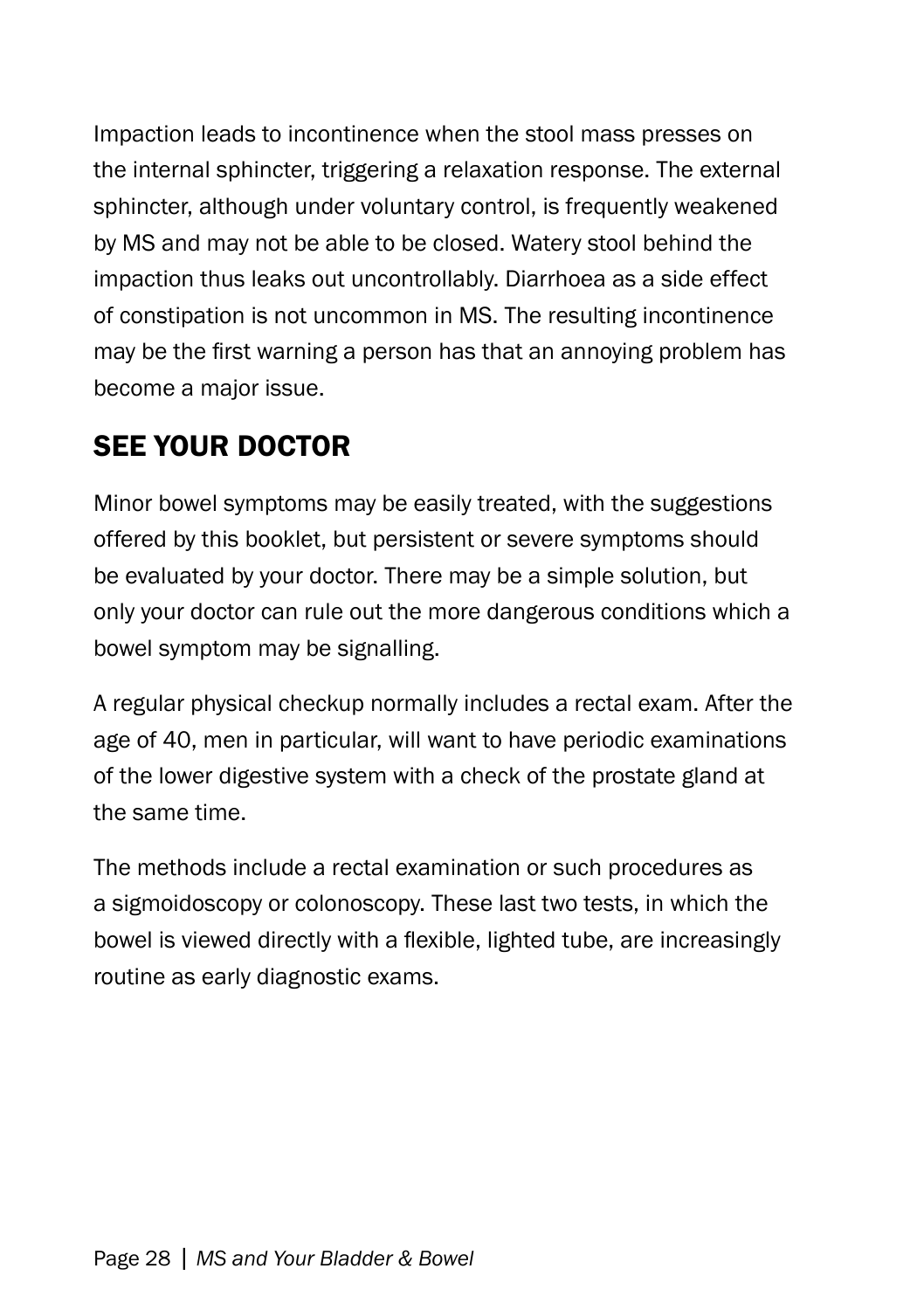Impaction leads to incontinence when the stool mass presses on the internal sphincter, triggering a relaxation response. The external sphincter, although under voluntary control, is frequently weakened by MS and may not be able to be closed. Watery stool behind the impaction thus leaks out uncontrollably. Diarrhoea as a side effect of constipation is not uncommon in MS. The resulting incontinence may be the first warning a person has that an annoying problem has become a major issue.

### See Your Doctor

Minor bowel symptoms may be easily treated, with the suggestions offered by this booklet, but persistent or severe symptoms should be evaluated by your doctor. There may be a simple solution, but only your doctor can rule out the more dangerous conditions which a bowel symptom may be signalling.

A regular physical checkup normally includes a rectal exam. After the age of 40, men in particular, will want to have periodic examinations of the lower digestive system with a check of the prostate gland at the same time.

The methods include a rectal examination or such procedures as a sigmoidoscopy or colonoscopy. These last two tests, in which the bowel is viewed directly with a flexible, lighted tube, are increasingly routine as early diagnostic exams.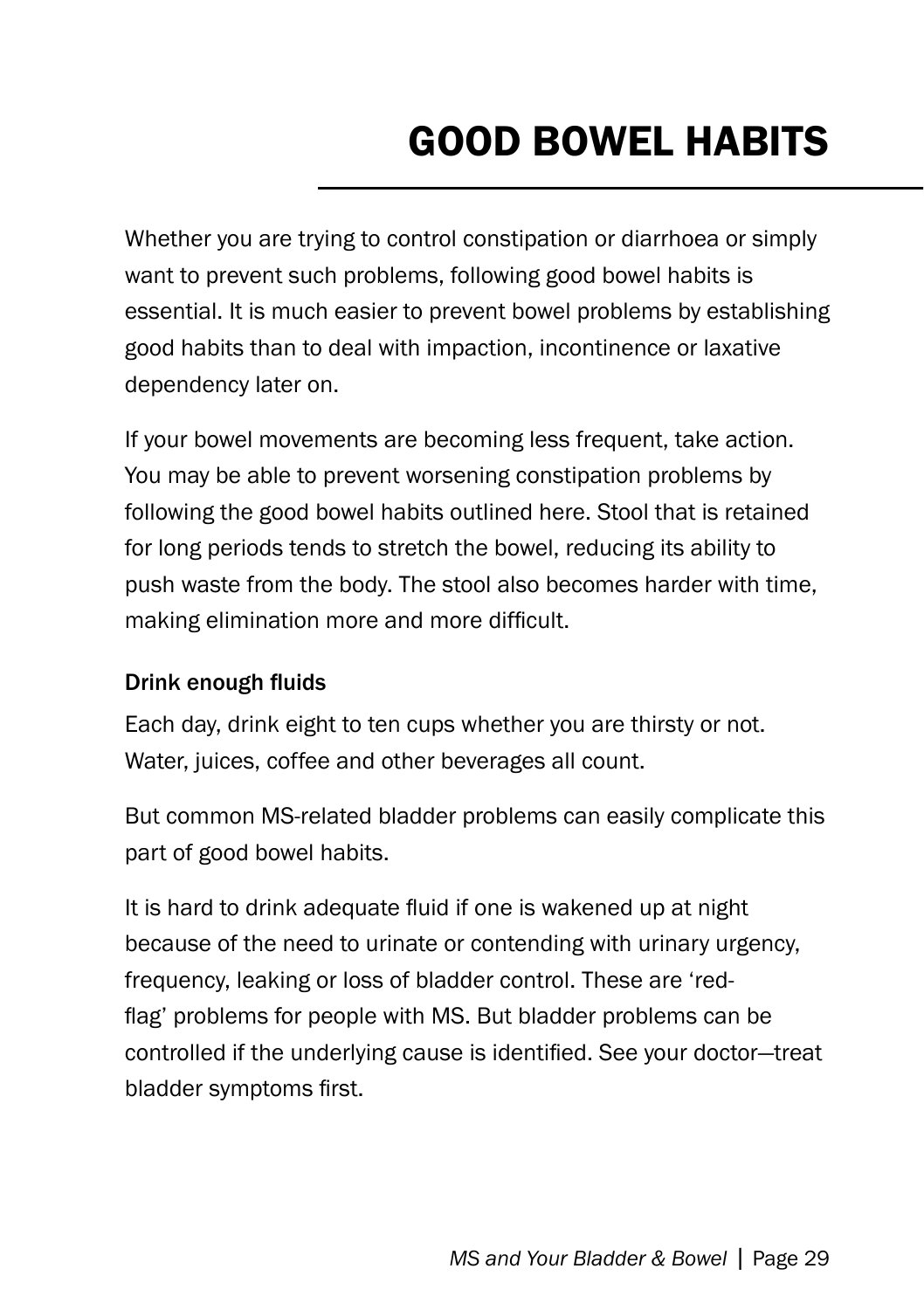# Good Bowel Habits

Whether you are trying to control constipation or diarrhoea or simply want to prevent such problems, following good bowel habits is essential. It is much easier to prevent bowel problems by establishing good habits than to deal with impaction, incontinence or laxative dependency later on.

If your bowel movements are becoming less frequent, take action. You may be able to prevent worsening constipation problems by following the good bowel habits outlined here. Stool that is retained for long periods tends to stretch the bowel, reducing its ability to push waste from the body. The stool also becomes harder with time, making elimination more and more difficult.

#### Drink enough fluids

Each day, drink eight to ten cups whether you are thirsty or not. Water, juices, coffee and other beverages all count.

But common MS-related bladder problems can easily complicate this part of good bowel habits.

It is hard to drink adequate fluid if one is wakened up at night because of the need to urinate or contending with urinary urgency, frequency, leaking or loss of bladder control. These are 'redflag' problems for people with MS. But bladder problems can be controlled if the underlying cause is identified. See your doctor—treat bladder symptoms first.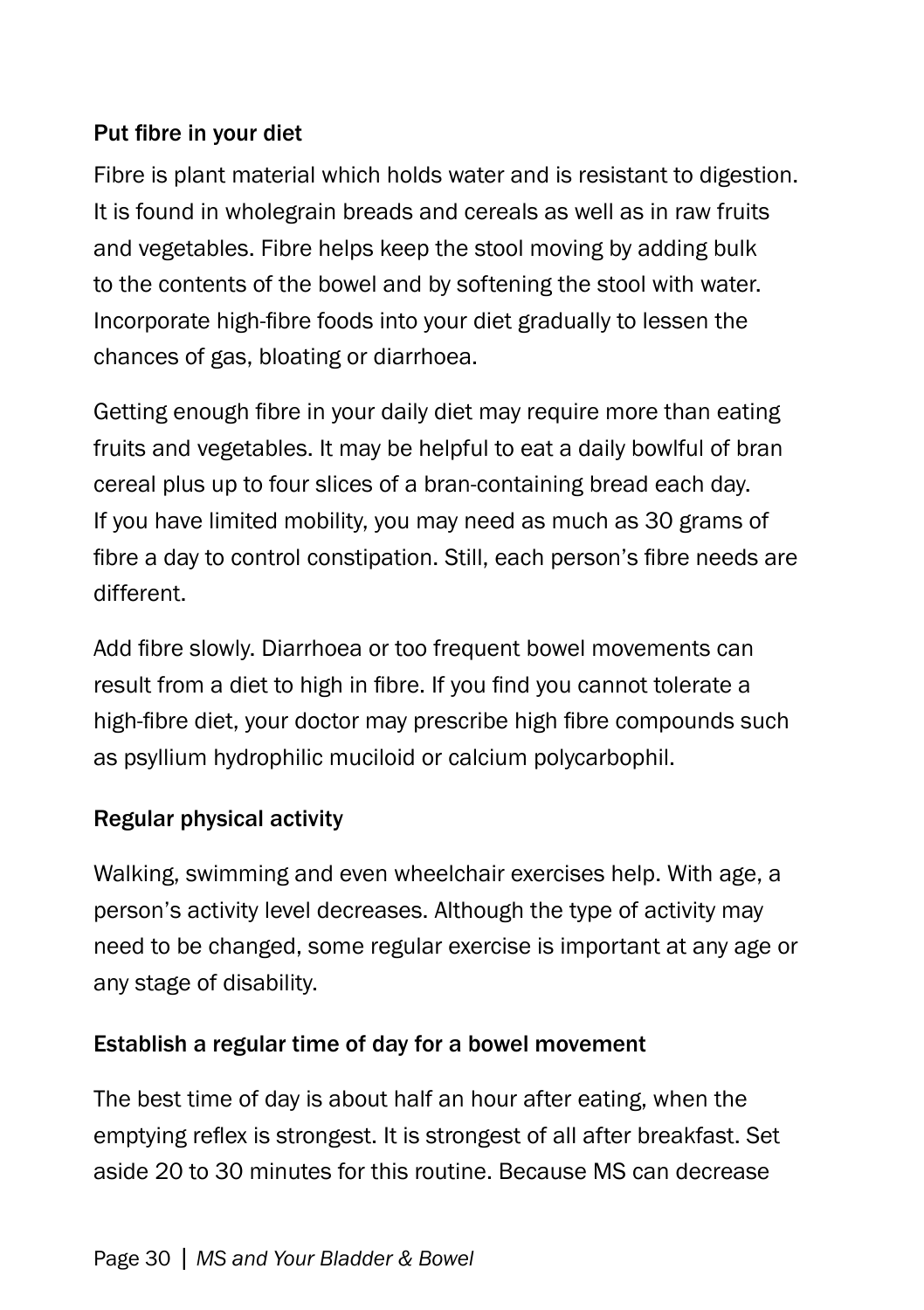#### Put fibre in your diet

Fibre is plant material which holds water and is resistant to digestion. It is found in wholegrain breads and cereals as well as in raw fruits and vegetables. Fibre helps keep the stool moving by adding bulk to the contents of the bowel and by softening the stool with water. Incorporate high-fibre foods into your diet gradually to lessen the chances of gas, bloating or diarrhoea.

Getting enough fibre in your daily diet may require more than eating fruits and vegetables. It may be helpful to eat a daily bowlful of bran cereal plus up to four slices of a bran-containing bread each day. If you have limited mobility, you may need as much as 30 grams of fibre a day to control constipation. Still, each person's fibre needs are different.

Add fibre slowly. Diarrhoea or too frequent bowel movements can result from a diet to high in fibre. If you find you cannot tolerate a high-fibre diet, your doctor may prescribe high fibre compounds such as psyllium hydrophilic muciloid or calcium polycarbophil.

#### Regular physical activity

Walking, swimming and even wheelchair exercises help. With age, a person's activity level decreases. Although the type of activity may need to be changed, some regular exercise is important at any age or any stage of disability.

#### Establish a regular time of day for a bowel movement

The best time of day is about half an hour after eating, when the emptying reflex is strongest. It is strongest of all after breakfast. Set aside 20 to 30 minutes for this routine. Because MS can decrease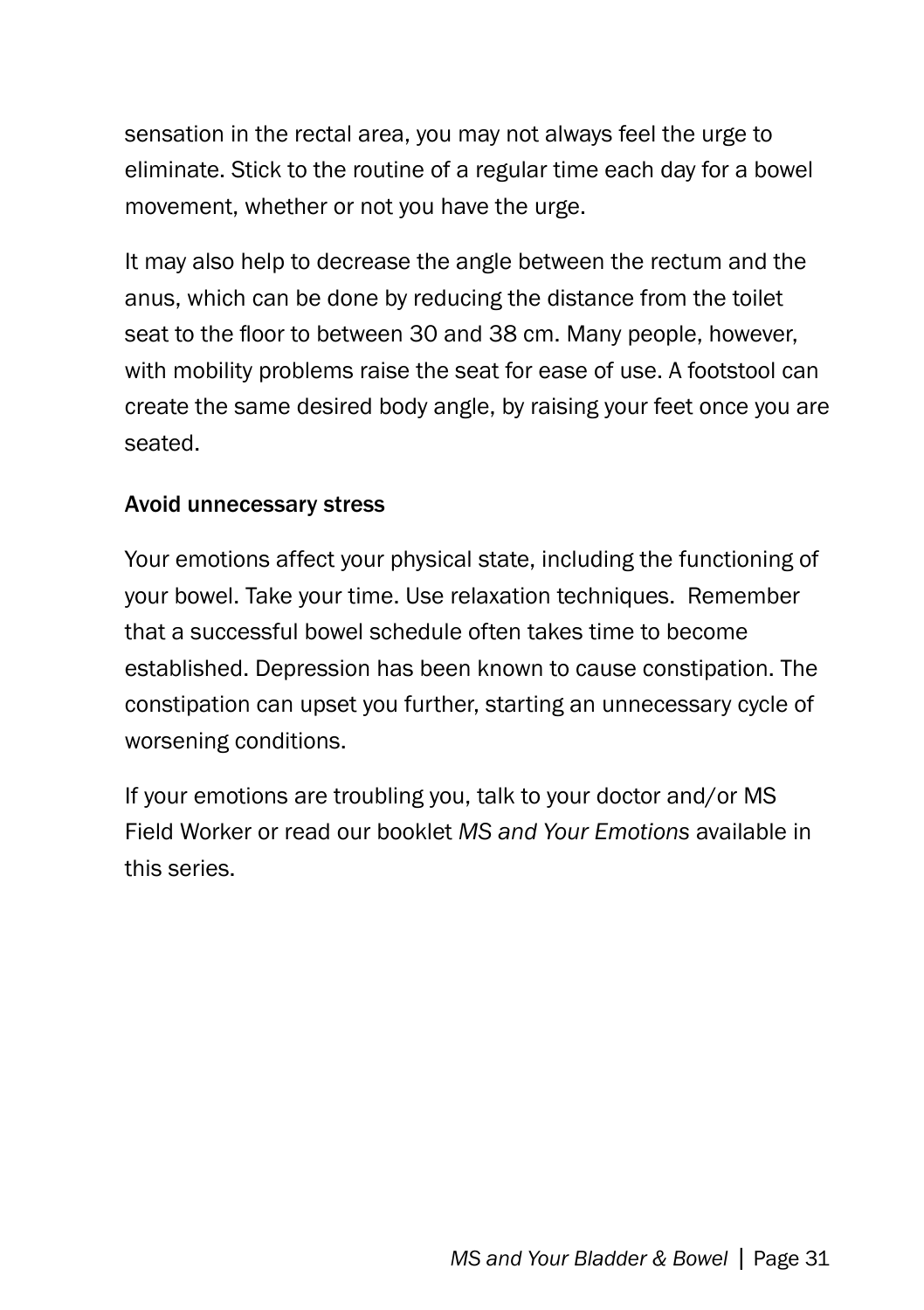sensation in the rectal area, you may not always feel the urge to eliminate. Stick to the routine of a regular time each day for a bowel movement, whether or not you have the urge.

It may also help to decrease the angle between the rectum and the anus, which can be done by reducing the distance from the toilet seat to the floor to between 30 and 38 cm. Many people, however, with mobility problems raise the seat for ease of use. A footstool can create the same desired body angle, by raising your feet once you are seated.

#### Avoid unnecessary stress

Your emotions affect your physical state, including the functioning of your bowel. Take your time. Use relaxation techniques. Remember that a successful bowel schedule often takes time to become established. Depression has been known to cause constipation. The constipation can upset you further, starting an unnecessary cycle of worsening conditions.

If your emotions are troubling you, talk to your doctor and/or MS Field Worker or read our booklet *MS and Your Emotions* available in this series.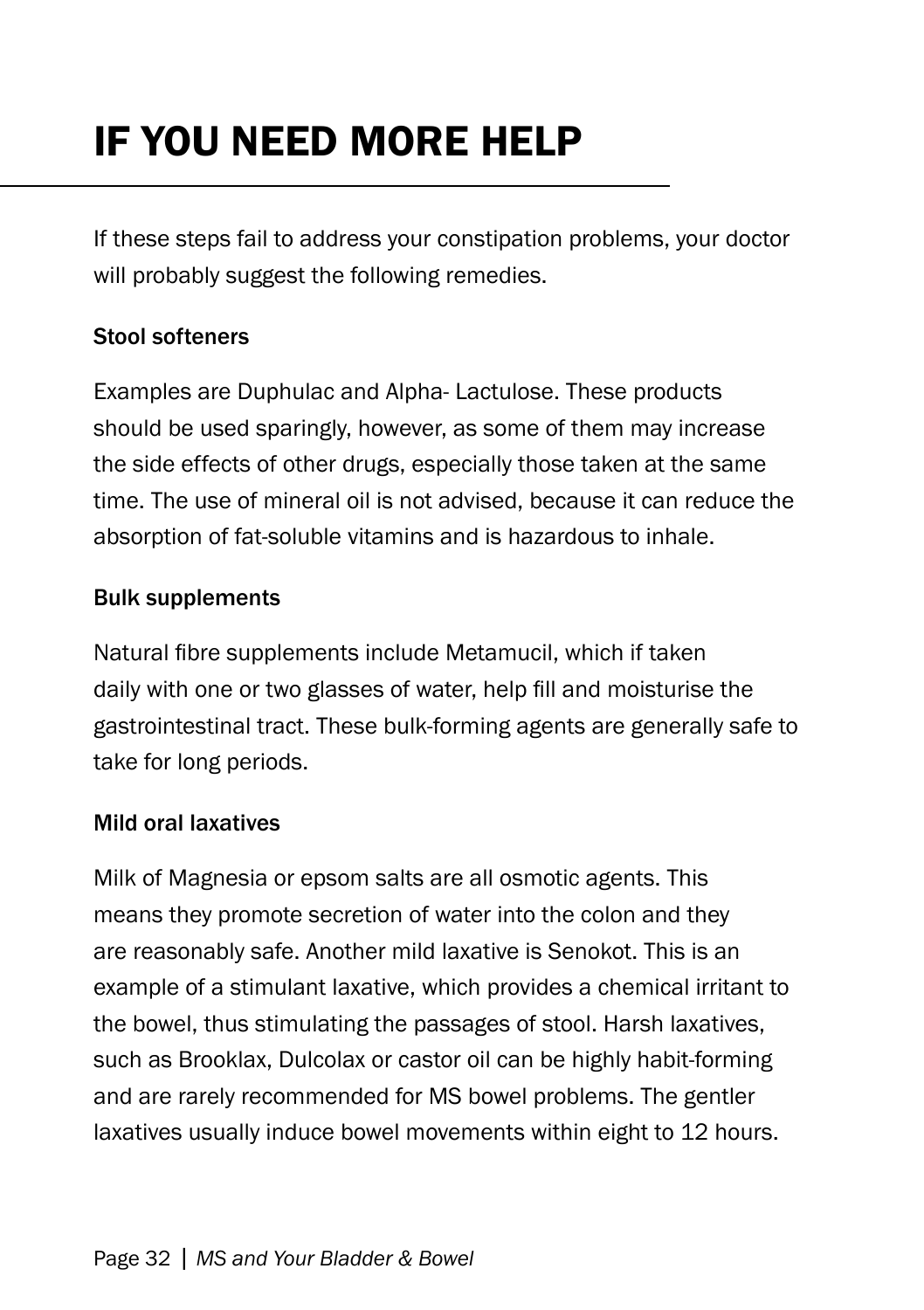# If You Need More Help

If these steps fail to address your constipation problems, your doctor will probably suggest the following remedies.

#### Stool softeners

Examples are Duphulac and Alpha- Lactulose. These products should be used sparingly, however, as some of them may increase the side effects of other drugs, especially those taken at the same time. The use of mineral oil is not advised, because it can reduce the absorption of fat-soluble vitamins and is hazardous to inhale.

#### Bulk supplements

Natural fibre supplements include Metamucil, which if taken daily with one or two glasses of water, help fill and moisturise the gastrointestinal tract. These bulk-forming agents are generally safe to take for long periods.

#### Mild oral laxatives

Milk of Magnesia or epsom salts are all osmotic agents. This means they promote secretion of water into the colon and they are reasonably safe. Another mild laxative is Senokot. This is an example of a stimulant laxative, which provides a chemical irritant to the bowel, thus stimulating the passages of stool. Harsh laxatives, such as Brooklax, Dulcolax or castor oil can be highly habit-forming and are rarely recommended for MS bowel problems. The gentler laxatives usually induce bowel movements within eight to 12 hours.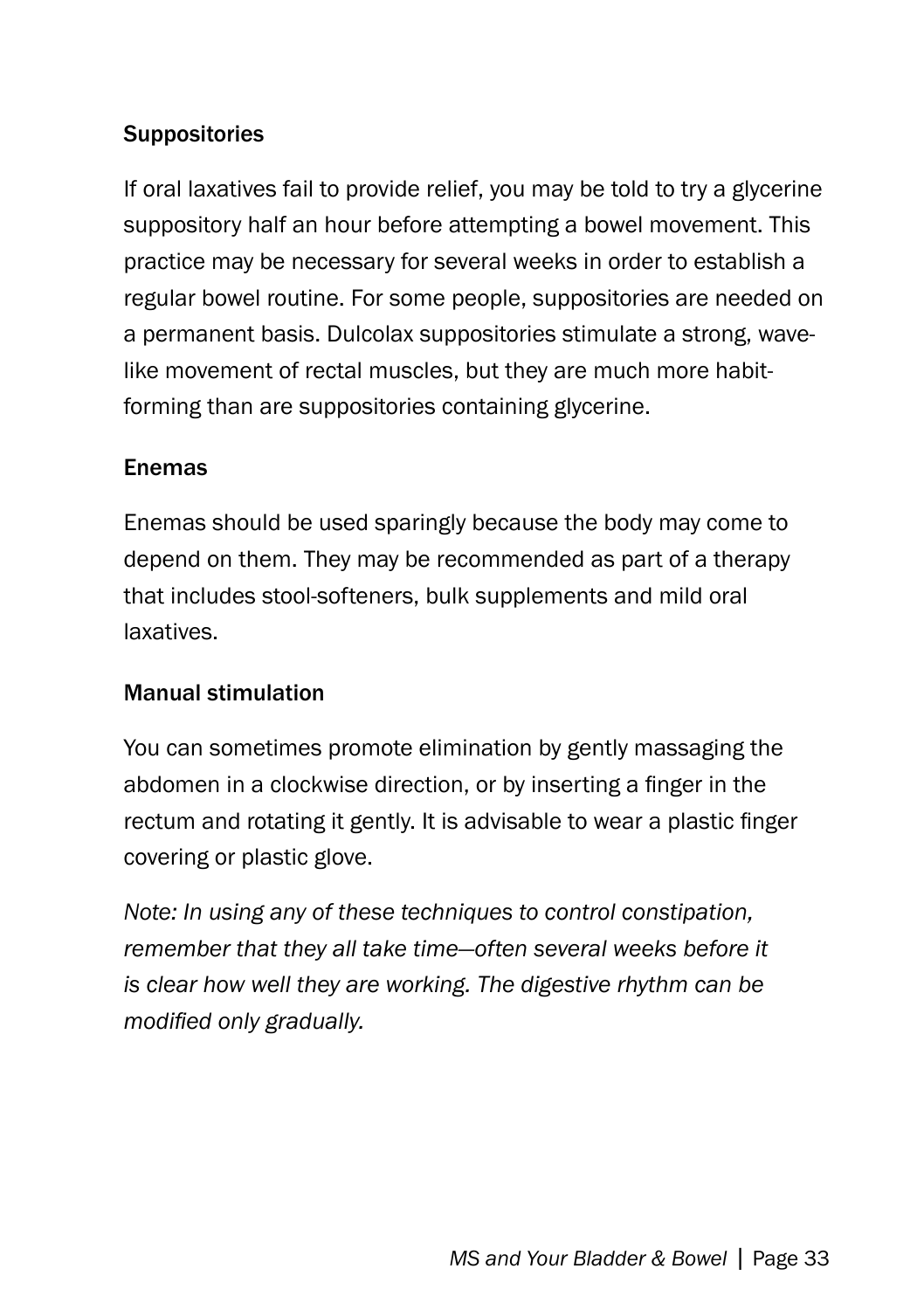#### **Suppositories**

If oral laxatives fail to provide relief, you may be told to try a glycerine suppository half an hour before attempting a bowel movement. This practice may be necessary for several weeks in order to establish a regular bowel routine. For some people, suppositories are needed on a permanent basis. Dulcolax suppositories stimulate a strong, wavelike movement of rectal muscles, but they are much more habitforming than are suppositories containing glycerine.

#### Enemas

Enemas should be used sparingly because the body may come to depend on them. They may be recommended as part of a therapy that includes stool-softeners, bulk supplements and mild oral laxatives.

#### Manual stimulation

You can sometimes promote elimination by gently massaging the abdomen in a clockwise direction, or by inserting a finger in the rectum and rotating it gently. It is advisable to wear a plastic finger covering or plastic glove.

*Note: In using any of these techniques to control constipation, remember that they all take time—often several weeks before it is clear how well they are working. The digestive rhythm can be modified only gradually.*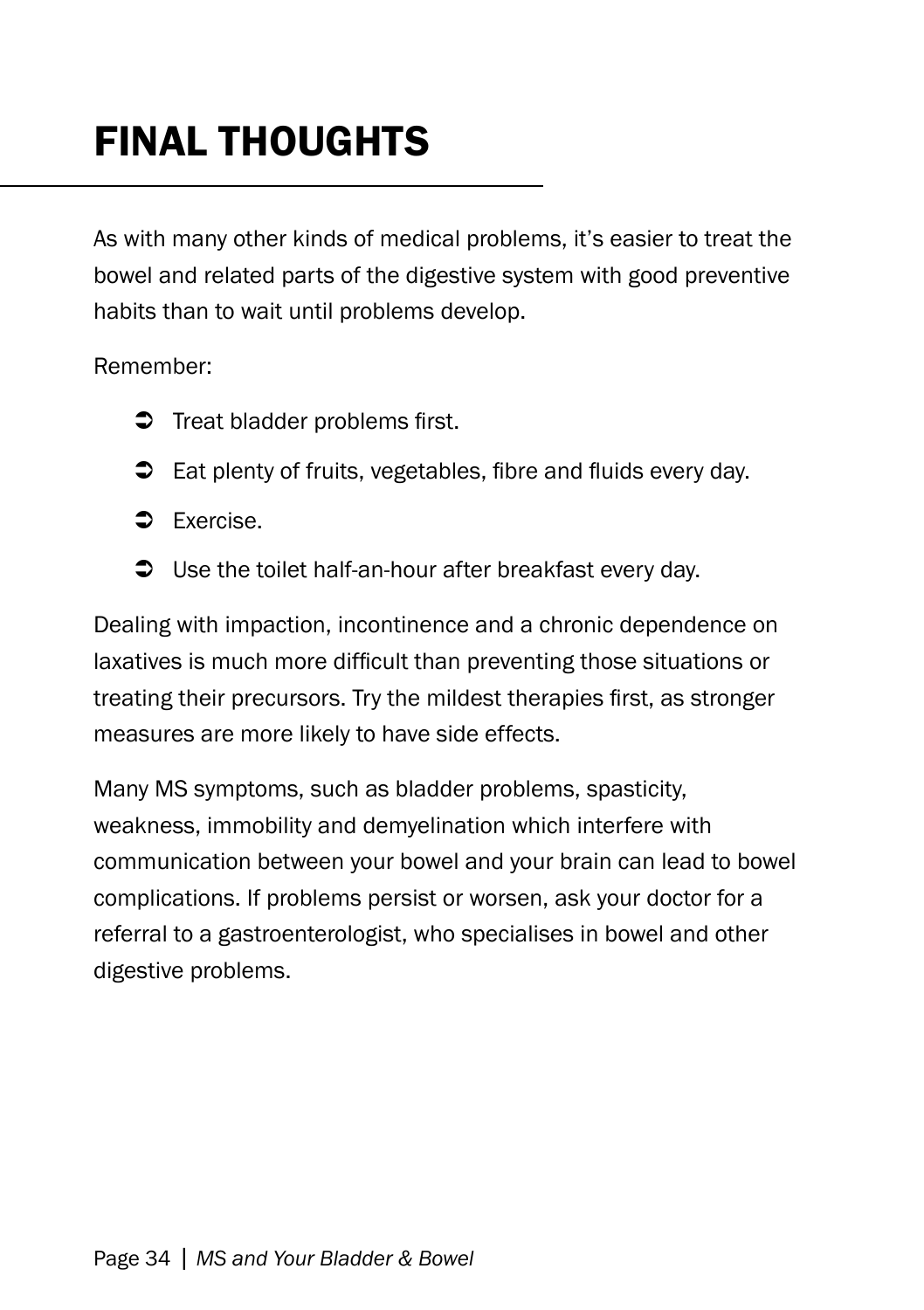# Final thoughts

As with many other kinds of medical problems, it's easier to treat the bowel and related parts of the digestive system with good preventive habits than to wait until problems develop.

Remember:

- $\supset$  Treat bladder problems first.
- $\supset$  Eat plenty of fruits, vegetables, fibre and fluids every day.
- Exercise.
- $\supset$  Use the toilet half-an-hour after breakfast every day.

Dealing with impaction, incontinence and a chronic dependence on laxatives is much more difficult than preventing those situations or treating their precursors. Try the mildest therapies first, as stronger measures are more likely to have side effects.

Many MS symptoms, such as bladder problems, spasticity, weakness, immobility and demyelination which interfere with communication between your bowel and your brain can lead to bowel complications. If problems persist or worsen, ask your doctor for a referral to a gastroenterologist, who specialises in bowel and other digestive problems.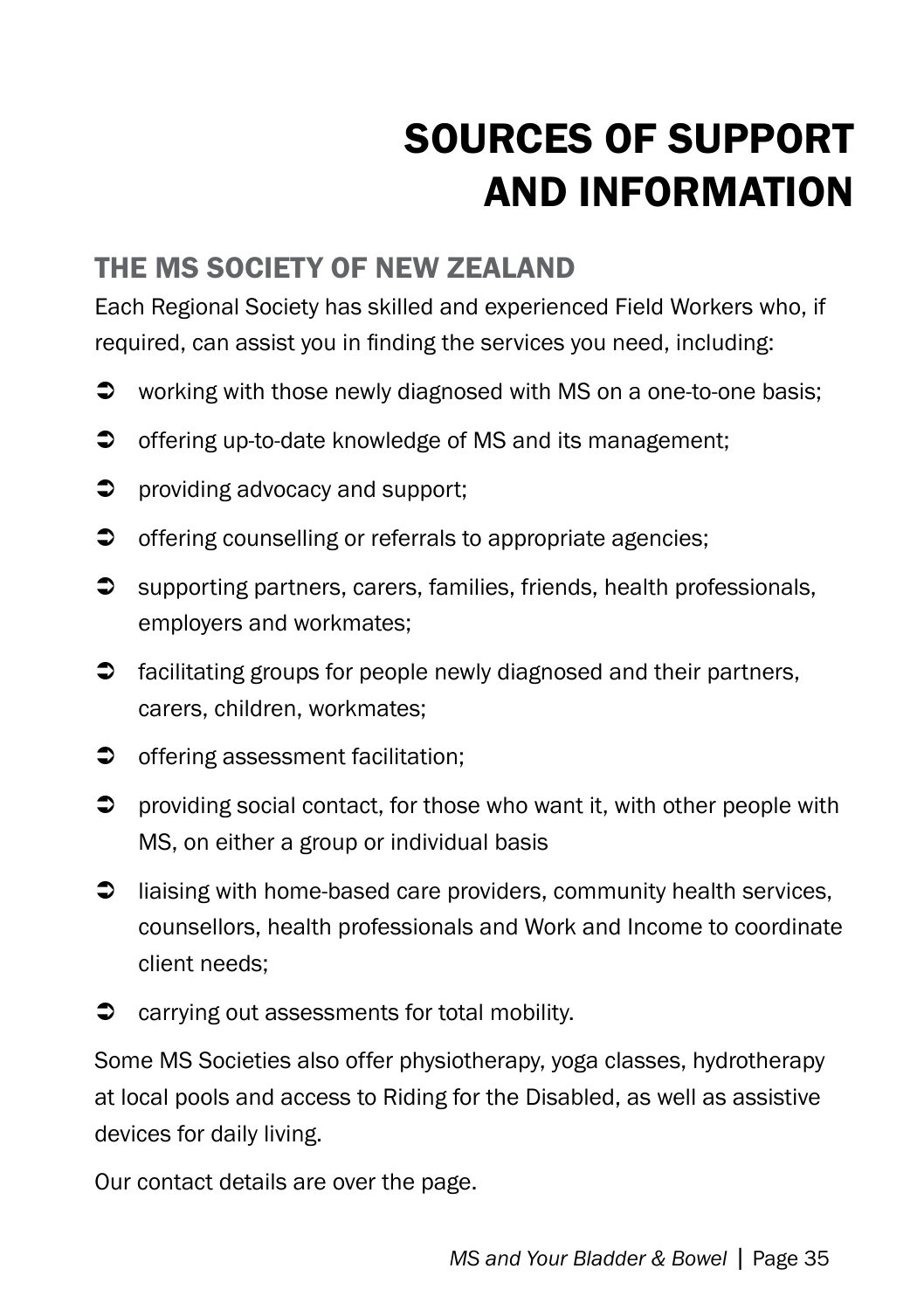# Sources of Support and Information

#### the ms society of NEW Zealand

Each Regional Society has skilled and experienced Field Workers who, if required, can assist you in finding the services you need, including:

- $\supset$  working with those newly diagnosed with MS on a one-to-one basis;
- $\supset$  offering up-to-date knowledge of MS and its management;
- $\supset$  providing advocacy and support;
- $\bullet$  offering counselling or referrals to appropriate agencies;
- $\supset$  supporting partners, carers, families, friends, health professionals, employers and workmates;
- $\supset$  facilitating groups for people newly diagnosed and their partners, carers, children, workmates;
- $\bullet$  offering assessment facilitation;
- $\supset$  providing social contact, for those who want it, with other people with MS, on either a group or individual basis
- $\supset$  liaising with home-based care providers, community health services, counsellors, health professionals and Work and Income to coordinate client needs;
- $\bullet$  carrying out assessments for total mobility.

Some MS Societies also offer physiotherapy, yoga classes, hydrotherapy at local pools and access to Riding for the Disabled, as well as assistive devices for daily living.

Our contact details are over the page.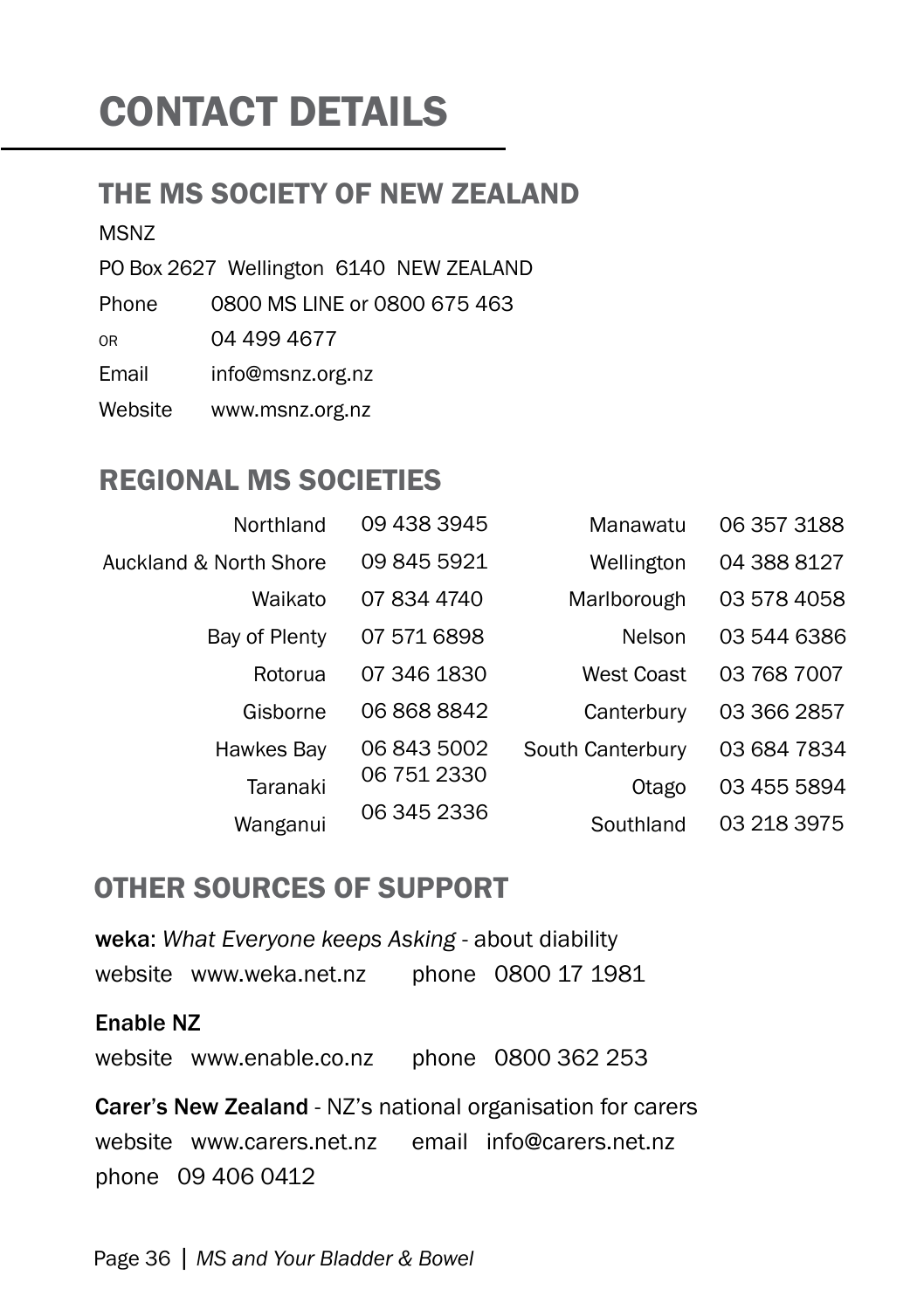# CONTACT DETAILS

#### the ms society of NEW Zealand

MSNZ

PO Box 2627 Wellington 6140 NEW ZEALAND

Phone 0800 MS LINE or 0800 675 463

or 04 499 4677

Email info@msnz.org.nz

Website www.msnz.org.nz

#### REGIONAL MS SOCIETIES

| Northland               | 09 438 3945 | Manawatu         | 06 357 3188 |
|-------------------------|-------------|------------------|-------------|
| Auckland & North Shore  | 09 845 5921 | Wellington       | 04 388 8127 |
| Waikato                 | 07 834 4740 | Marlborough      | 03 578 4058 |
| Bay of Plenty           | 07 571 6898 | <b>Nelson</b>    | 03 544 6386 |
| Rotorua                 | 07 346 1830 | West Coast       | 03 768 7007 |
| Gisborne                | 06 868 8842 | Canterbury       | 03 366 2857 |
| Hawkes Bay              | 06 843 5002 | South Canterbury | 03 684 7834 |
| Taranaki                | 06 751 2330 | Otago            | 03 455 5894 |
| 06 345 2336<br>Wanganui | Southland   | 03 218 3975      |             |

#### OTHER SOURCES OF SUPPORT

weka: *What Everyone keeps Asking* - about diability website www.weka.net.nz phone 0800 17 1981

#### Enable NZ

website www.enable.co.nz phone 0800 362 253

Carer's New Zealand - NZ's national organisation for carers website www.carers.net.nz email info@carers.net.nz phone 09 406 0412